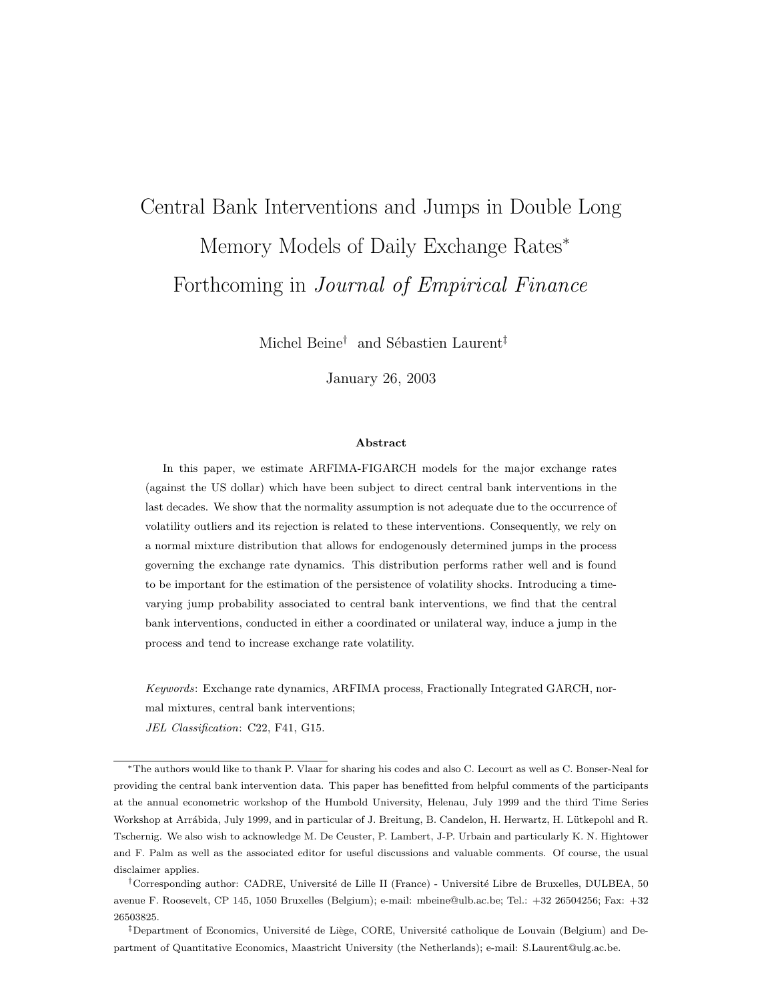# Central Bank Interventions and Jumps in Double Long Memory Models of Daily Exchange Rates<sup>∗</sup> Forthcoming in Journal of Empirical Finance

Michel Beine<sup>†</sup> and Sébastien Laurent<sup>‡</sup>

January 26, 2003

#### Abstract

In this paper, we estimate ARFIMA-FIGARCH models for the major exchange rates (against the US dollar) which have been subject to direct central bank interventions in the last decades. We show that the normality assumption is not adequate due to the occurrence of volatility outliers and its rejection is related to these interventions. Consequently, we rely on a normal mixture distribution that allows for endogenously determined jumps in the process governing the exchange rate dynamics. This distribution performs rather well and is found to be important for the estimation of the persistence of volatility shocks. Introducing a timevarying jump probability associated to central bank interventions, we find that the central bank interventions, conducted in either a coordinated or unilateral way, induce a jump in the process and tend to increase exchange rate volatility.

Keywords: Exchange rate dynamics, ARFIMA process, Fractionally Integrated GARCH, normal mixtures, central bank interventions;

JEL Classification: C22, F41, G15.

<sup>∗</sup>The authors would like to thank P. Vlaar for sharing his codes and also C. Lecourt as well as C. Bonser-Neal for providing the central bank intervention data. This paper has benefitted from helpful comments of the participants at the annual econometric workshop of the Humbold University, Helenau, July 1999 and the third Time Series Workshop at Arrábida, July 1999, and in particular of J. Breitung, B. Candelon, H. Herwartz, H. Lütkepohl and R. Tschernig. We also wish to acknowledge M. De Ceuster, P. Lambert, J-P. Urbain and particularly K. N. Hightower and F. Palm as well as the associated editor for useful discussions and valuable comments. Of course, the usual disclaimer applies.

<sup>&</sup>lt;sup>†</sup>Corresponding author: CADRE, Université de Lille II (France) - Université Libre de Bruxelles, DULBEA, 50 avenue F. Roosevelt, CP 145, 1050 Bruxelles (Belgium); e-mail: mbeine@ulb.ac.be; Tel.: +32 26504256; Fax: +32 26503825.

 $\ddagger$ Department of Economics, Université de Liège, CORE, Université catholique de Louvain (Belgium) and Department of Quantitative Economics, Maastricht University (the Netherlands); e-mail: S.Laurent@ulg.ac.be.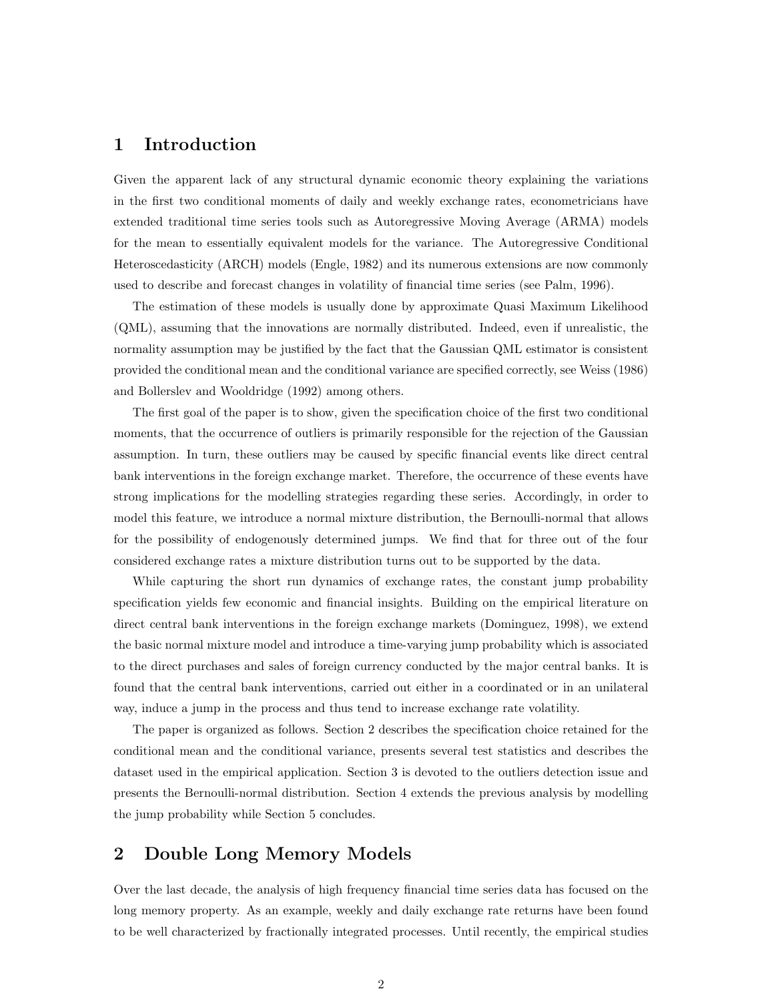# 1 Introduction

Given the apparent lack of any structural dynamic economic theory explaining the variations in the first two conditional moments of daily and weekly exchange rates, econometricians have extended traditional time series tools such as Autoregressive Moving Average (ARMA) models for the mean to essentially equivalent models for the variance. The Autoregressive Conditional Heteroscedasticity (ARCH) models (Engle, 1982) and its numerous extensions are now commonly used to describe and forecast changes in volatility of financial time series (see Palm, 1996).

The estimation of these models is usually done by approximate Quasi Maximum Likelihood (QML), assuming that the innovations are normally distributed. Indeed, even if unrealistic, the normality assumption may be justified by the fact that the Gaussian QML estimator is consistent provided the conditional mean and the conditional variance are specified correctly, see Weiss (1986) and Bollerslev and Wooldridge (1992) among others.

The first goal of the paper is to show, given the specification choice of the first two conditional moments, that the occurrence of outliers is primarily responsible for the rejection of the Gaussian assumption. In turn, these outliers may be caused by specific financial events like direct central bank interventions in the foreign exchange market. Therefore, the occurrence of these events have strong implications for the modelling strategies regarding these series. Accordingly, in order to model this feature, we introduce a normal mixture distribution, the Bernoulli-normal that allows for the possibility of endogenously determined jumps. We find that for three out of the four considered exchange rates a mixture distribution turns out to be supported by the data.

While capturing the short run dynamics of exchange rates, the constant jump probability specification yields few economic and financial insights. Building on the empirical literature on direct central bank interventions in the foreign exchange markets (Dominguez, 1998), we extend the basic normal mixture model and introduce a time-varying jump probability which is associated to the direct purchases and sales of foreign currency conducted by the major central banks. It is found that the central bank interventions, carried out either in a coordinated or in an unilateral way, induce a jump in the process and thus tend to increase exchange rate volatility.

The paper is organized as follows. Section 2 describes the specification choice retained for the conditional mean and the conditional variance, presents several test statistics and describes the dataset used in the empirical application. Section 3 is devoted to the outliers detection issue and presents the Bernoulli-normal distribution. Section 4 extends the previous analysis by modelling the jump probability while Section 5 concludes.

# 2 Double Long Memory Models

Over the last decade, the analysis of high frequency financial time series data has focused on the long memory property. As an example, weekly and daily exchange rate returns have been found to be well characterized by fractionally integrated processes. Until recently, the empirical studies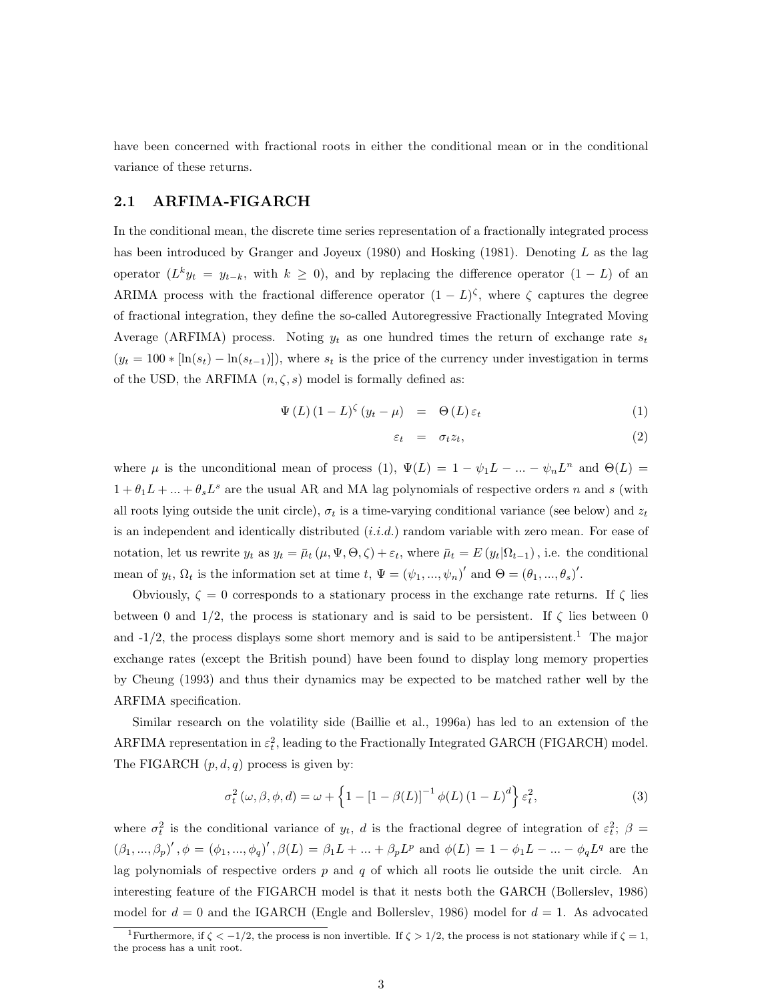have been concerned with fractional roots in either the conditional mean or in the conditional variance of these returns.

## 2.1 ARFIMA-FIGARCH

In the conditional mean, the discrete time series representation of a fractionally integrated process has been introduced by Granger and Joyeux (1980) and Hosking (1981). Denoting L as the lag operator  $(L^k y_t = y_{t-k}$ , with  $k \geq 0$ , and by replacing the difference operator  $(1 - L)$  of an ARIMA process with the fractional difference operator  $(1 - L)^{\zeta}$ , where  $\zeta$  captures the degree of fractional integration, they define the so-called Autoregressive Fractionally Integrated Moving Average (ARFIMA) process. Noting  $y_t$  as one hundred times the return of exchange rate  $s_t$  $(y_t = 100 * [\ln(s_t) - \ln(s_{t-1})])$ , where  $s_t$  is the price of the currency under investigation in terms of the USD, the ARFIMA  $(n, \zeta, s)$  model is formally defined as:

$$
\Psi(L) (1 - L)^{\zeta} (y_t - \mu) = \Theta(L) \varepsilon_t \tag{1}
$$

$$
\varepsilon_t = \sigma_t z_t, \tag{2}
$$

where  $\mu$  is the unconditional mean of process (1),  $\Psi(L) = 1 - \psi_1 L - ... - \psi_n L^n$  and  $\Theta(L) =$  $1 + \theta_1 L + ... + \theta_s L^s$  are the usual AR and MA lag polynomials of respective orders n and s (with all roots lying outside the unit circle),  $\sigma_t$  is a time-varying conditional variance (see below) and  $z_t$ is an independent and identically distributed  $(i.i.d.)$  random variable with zero mean. For ease of notation, let us rewrite  $y_t$  as  $y_t = \bar{\mu}_t (\mu, \Psi, \Theta, \zeta) + \varepsilon_t$ , where  $\bar{\mu}_t = E(y_t | \Omega_{t-1})$ , i.e. the conditional mean of  $y_t$ ,  $\Omega_t$  is the information set at time  $t, \Psi = (\psi_1, ..., \psi_n)'$  and  $\Theta = (\theta_1, ..., \theta_s)'$ .

Obviously,  $\zeta = 0$  corresponds to a stationary process in the exchange rate returns. If  $\zeta$  lies between 0 and 1/2, the process is stationary and is said to be persistent. If  $\zeta$  lies between 0 and  $-1/2$ , the process displays some short memory and is said to be antipersistent.<sup>1</sup> The major exchange rates (except the British pound) have been found to display long memory properties by Cheung (1993) and thus their dynamics may be expected to be matched rather well by the ARFIMA specification.

Similar research on the volatility side (Baillie et al., 1996a) has led to an extension of the ARFIMA representation in  $\varepsilon_t^2$ , leading to the Fractionally Integrated GARCH (FIGARCH) model. The FIGARCH  $(p, d, q)$  process is given by:

$$
\sigma_t^2(\omega,\beta,\phi,d) = \omega + \left\{1 - \left[1 - \beta(L)\right]^{-1} \phi(L) \left(1 - L\right)^d\right\} \varepsilon_t^2,\tag{3}
$$

where  $\sigma_t^2$  is the conditional variance of  $y_t$ , d is the fractional degree of integration of  $\varepsilon_t^2$ ;  $\beta =$  $(\beta_1, ..., \beta_p)'$ ,  $\phi = (\phi_1, ..., \phi_q)'$ ,  $\beta(L) = \beta_1 L + ... + \beta_p L^p$  and  $\phi(L) = 1 - \phi_1 L - ... - \phi_q L^q$  are the lag polynomials of respective orders  $p$  and  $q$  of which all roots lie outside the unit circle. An interesting feature of the FIGARCH model is that it nests both the GARCH (Bollerslev, 1986) model for  $d = 0$  and the IGARCH (Engle and Bollerslev, 1986) model for  $d = 1$ . As advocated

<sup>&</sup>lt;sup>1</sup>Furthermore, if  $\zeta < -1/2$ , the process is non invertible. If  $\zeta > 1/2$ , the process is not stationary while if  $\zeta = 1$ , the process has a unit root.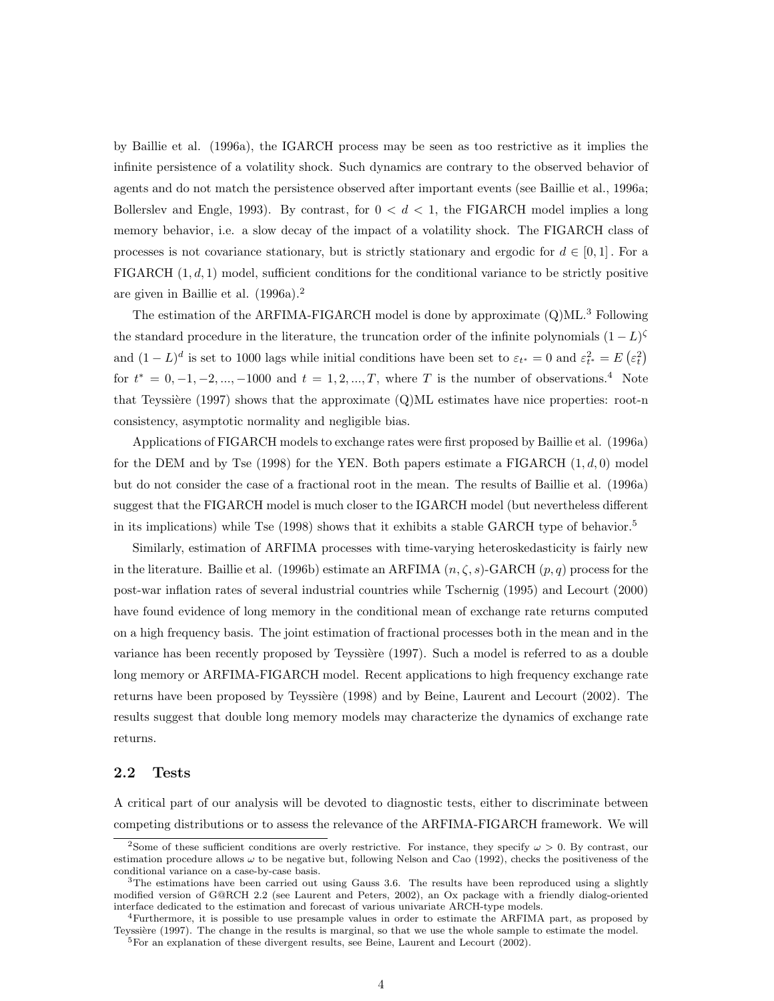by Baillie et al. (1996a), the IGARCH process may be seen as too restrictive as it implies the infinite persistence of a volatility shock. Such dynamics are contrary to the observed behavior of agents and do not match the persistence observed after important events (see Baillie et al., 1996a; Bollerslev and Engle, 1993). By contrast, for  $0 < d < 1$ , the FIGARCH model implies a long memory behavior, i.e. a slow decay of the impact of a volatility shock. The FIGARCH class of processes is not covariance stationary, but is strictly stationary and ergodic for  $d \in [0, 1]$ . For a FIGARCH  $(1, d, 1)$  model, sufficient conditions for the conditional variance to be strictly positive are given in Baillie et al. (1996a).<sup>2</sup>

The estimation of the ARFIMA-FIGARCH model is done by approximate  $(Q)ML<sup>3</sup>$  Following the standard procedure in the literature, the truncation order of the infinite polynomials  $(1 - L)^{\zeta}$ and  $(1 - L)^d$  is set to 1000 lags while initial conditions have been set to  $\varepsilon_{t^*} = 0$  and  $\varepsilon_{t^*}^2 = E$ ¡  $\varepsilon_t^2$ ¢ for  $t^* = 0, -1, -2, \ldots, -1000$  and  $t = 1, 2, \ldots, T$ , where T is the number of observations.<sup>4</sup> Note that Teyssière (1997) shows that the approximate  $(Q)ML$  estimates have nice properties: root-n consistency, asymptotic normality and negligible bias.

Applications of FIGARCH models to exchange rates were first proposed by Baillie et al. (1996a) for the DEM and by Tse  $(1998)$  for the YEN. Both papers estimate a FIGARCH  $(1, d, 0)$  model but do not consider the case of a fractional root in the mean. The results of Baillie et al. (1996a) suggest that the FIGARCH model is much closer to the IGARCH model (but nevertheless different in its implications) while Tse (1998) shows that it exhibits a stable GARCH type of behavior.<sup>5</sup>

Similarly, estimation of ARFIMA processes with time-varying heteroskedasticity is fairly new in the literature. Baillie et al. (1996b) estimate an ARFIMA  $(n, \zeta, s)$ -GARCH  $(p, q)$  process for the post-war inflation rates of several industrial countries while Tschernig (1995) and Lecourt (2000) have found evidence of long memory in the conditional mean of exchange rate returns computed on a high frequency basis. The joint estimation of fractional processes both in the mean and in the variance has been recently proposed by Teyssière (1997). Such a model is referred to as a double long memory or ARFIMA-FIGARCH model. Recent applications to high frequency exchange rate returns have been proposed by Teyssière (1998) and by Beine, Laurent and Lecourt (2002). The results suggest that double long memory models may characterize the dynamics of exchange rate returns.

## 2.2 Tests

A critical part of our analysis will be devoted to diagnostic tests, either to discriminate between competing distributions or to assess the relevance of the ARFIMA-FIGARCH framework. We will

<sup>&</sup>lt;sup>2</sup>Some of these sufficient conditions are overly restrictive. For instance, they specify  $\omega > 0$ . By contrast, our estimation procedure allows  $\omega$  to be negative but, following Nelson and Cao (1992), checks the positiveness of the conditional variance on a case-by-case basis.

<sup>&</sup>lt;sup>3</sup>The estimations have been carried out using Gauss 3.6. The results have been reproduced using a slightly modified version of G@RCH 2.2 (see Laurent and Peters, 2002), an Ox package with a friendly dialog-oriented interface dedicated to the estimation and forecast of various univariate ARCH-type models.

<sup>4</sup>Furthermore, it is possible to use presample values in order to estimate the ARFIMA part, as proposed by Teyssière (1997). The change in the results is marginal, so that we use the whole sample to estimate the model.

 ${}^{5}$ For an explanation of these divergent results, see Beine, Laurent and Lecourt (2002).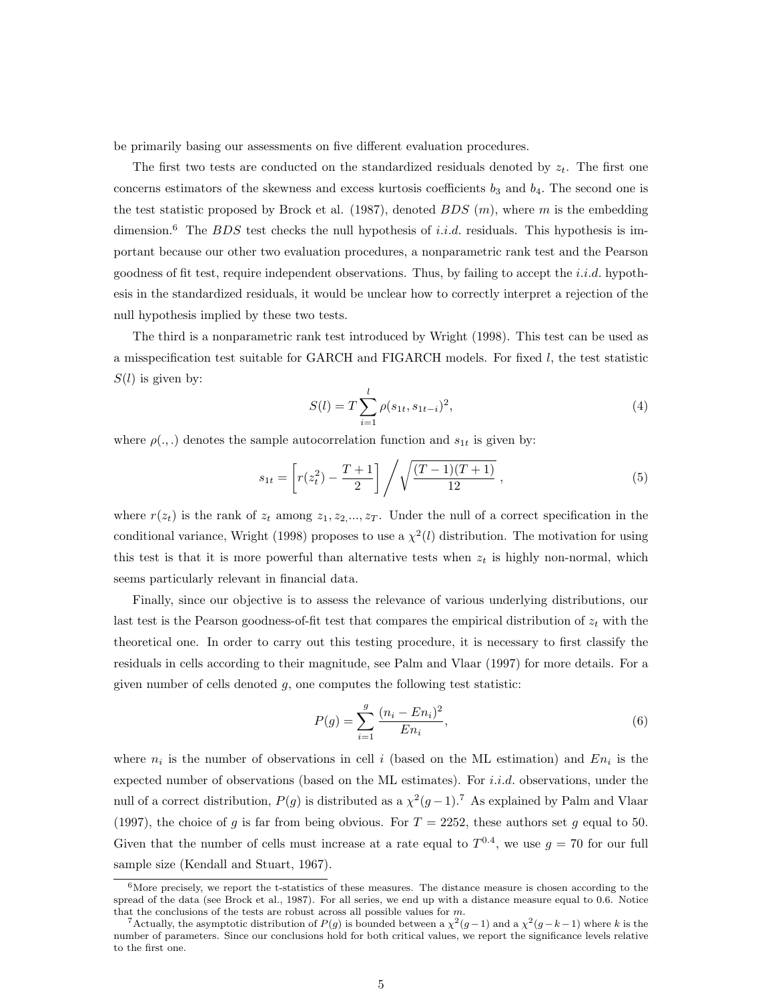be primarily basing our assessments on five different evaluation procedures.

The first two tests are conducted on the standardized residuals denoted by  $z_t$ . The first one concerns estimators of the skewness and excess kurtosis coefficients  $b_3$  and  $b_4$ . The second one is the test statistic proposed by Brock et al. (1987), denoted BDS  $(m)$ , where m is the embedding dimension.<sup>6</sup> The *BDS* test checks the null hypothesis of *i.i.d.* residuals. This hypothesis is important because our other two evaluation procedures, a nonparametric rank test and the Pearson goodness of fit test, require independent observations. Thus, by failing to accept the *i.i.d.* hypothesis in the standardized residuals, it would be unclear how to correctly interpret a rejection of the null hypothesis implied by these two tests.

The third is a nonparametric rank test introduced by Wright (1998). This test can be used as a misspecification test suitable for GARCH and FIGARCH models. For fixed  $l$ , the test statistic  $S(l)$  is given by:

$$
S(l) = T \sum_{i=1}^{l} \rho(s_{1t}, s_{1t-i})^2,
$$
\n(4)

where  $\rho(.,.)$  denotes the sample autocorrelation function and  $s_{1t}$  is given by:

$$
s_{1t} = \left[ r(z_t^2) - \frac{T+1}{2} \right] / \sqrt{\frac{(T-1)(T+1)}{12}} , \qquad (5)
$$

where  $r(z_t)$  is the rank of  $z_t$  among  $z_1, z_2, ..., z_T$ . Under the null of a correct specification in the conditional variance, Wright (1998) proposes to use a  $\chi^2(l)$  distribution. The motivation for using this test is that it is more powerful than alternative tests when  $z_t$  is highly non-normal, which seems particularly relevant in financial data.

Finally, since our objective is to assess the relevance of various underlying distributions, our last test is the Pearson goodness-of-fit test that compares the empirical distribution of  $z_t$  with the theoretical one. In order to carry out this testing procedure, it is necessary to first classify the residuals in cells according to their magnitude, see Palm and Vlaar (1997) for more details. For a given number of cells denoted  $g$ , one computes the following test statistic:

$$
P(g) = \sum_{i=1}^{g} \frac{(n_i - En_i)^2}{En_i},
$$
\n(6)

where  $n_i$  is the number of observations in cell i (based on the ML estimation) and  $En_i$  is the expected number of observations (based on the ML estimates). For *i.i.d.* observations, under the null of a correct distribution,  $P(g)$  is distributed as a  $\chi^2(g-1)$ .<sup>7</sup> As explained by Palm and Vlaar (1997), the choice of g is far from being obvious. For  $T = 2252$ , these authors set g equal to 50. Given that the number of cells must increase at a rate equal to  $T^{0.4}$ , we use  $g = 70$  for our full sample size (Kendall and Stuart, 1967).

 $6<sup>6</sup>$ More precisely, we report the t-statistics of these measures. The distance measure is chosen according to the spread of the data (see Brock et al., 1987). For all series, we end up with a distance measure equal to 0.6. Notice that the conclusions of the tests are robust across all possible values for  $m$ .

<sup>&</sup>lt;sup>7</sup>Actually, the asymptotic distribution of  $P(g)$  is bounded between a  $\chi^2(g-1)$  and a  $\chi^2(g-k-1)$  where k is the number of parameters. Since our conclusions hold for both critical values, we report the significance levels relative to the first one.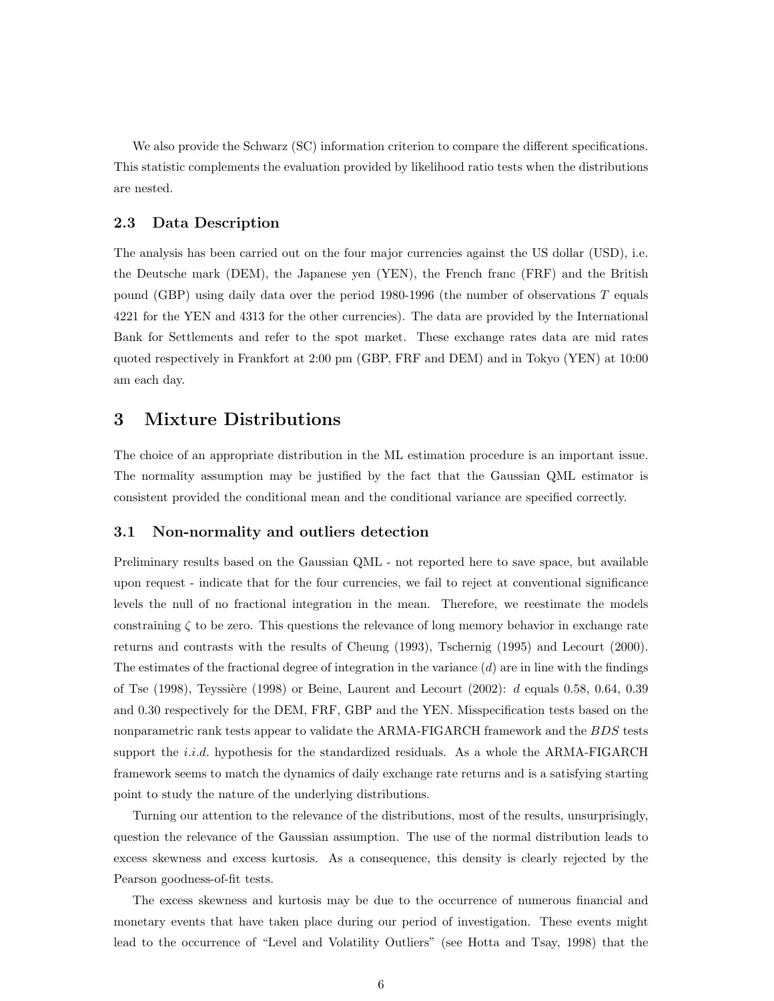We also provide the Schwarz (SC) information criterion to compare the different specifications. This statistic complements the evaluation provided by likelihood ratio tests when the distributions are nested.

## 2.3 Data Description

The analysis has been carried out on the four major currencies against the US dollar (USD), i.e. the Deutsche mark (DEM), the Japanese yen (YEN), the French franc (FRF) and the British pound (GBP) using daily data over the period 1980-1996 (the number of observations T equals 4221 for the YEN and 4313 for the other currencies). The data are provided by the International Bank for Settlements and refer to the spot market. These exchange rates data are mid rates quoted respectively in Frankfort at 2:00 pm (GBP, FRF and DEM) and in Tokyo (YEN) at 10:00 am each day.

# 3 Mixture Distributions

The choice of an appropriate distribution in the ML estimation procedure is an important issue. The normality assumption may be justified by the fact that the Gaussian QML estimator is consistent provided the conditional mean and the conditional variance are specified correctly.

## 3.1 Non-normality and outliers detection

Preliminary results based on the Gaussian QML - not reported here to save space, but available upon request - indicate that for the four currencies, we fail to reject at conventional significance levels the null of no fractional integration in the mean. Therefore, we reestimate the models constraining  $\zeta$  to be zero. This questions the relevance of long memory behavior in exchange rate returns and contrasts with the results of Cheung (1993), Tschernig (1995) and Lecourt (2000). The estimates of the fractional degree of integration in the variance  $(d)$  are in line with the findings of Tse  $(1998)$ , Teyssière  $(1998)$  or Beine, Laurent and Lecourt  $(2002)$ : d equals 0.58, 0.64, 0.39 and 0.30 respectively for the DEM, FRF, GBP and the YEN. Misspecification tests based on the nonparametric rank tests appear to validate the ARMA-FIGARCH framework and the BDS tests support the *i.i.d.* hypothesis for the standardized residuals. As a whole the ARMA-FIGARCH framework seems to match the dynamics of daily exchange rate returns and is a satisfying starting point to study the nature of the underlying distributions.

Turning our attention to the relevance of the distributions, most of the results, unsurprisingly, question the relevance of the Gaussian assumption. The use of the normal distribution leads to excess skewness and excess kurtosis. As a consequence, this density is clearly rejected by the Pearson goodness-of-fit tests.

The excess skewness and kurtosis may be due to the occurrence of numerous financial and monetary events that have taken place during our period of investigation. These events might lead to the occurrence of "Level and Volatility Outliers" (see Hotta and Tsay, 1998) that the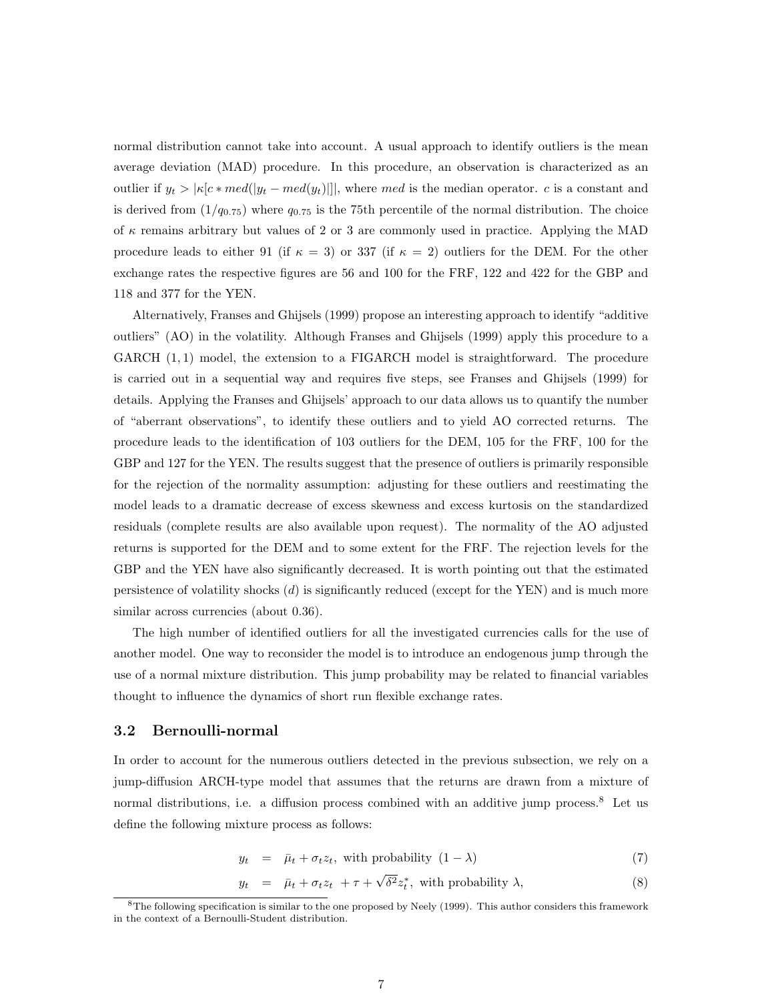normal distribution cannot take into account. A usual approach to identify outliers is the mean average deviation (MAD) procedure. In this procedure, an observation is characterized as an outlier if  $y_t > |\kappa[c * med(|y_t - med(y_t)||)]$ , where med is the median operator. c is a constant and is derived from  $(1/q_{0.75})$  where  $q_{0.75}$  is the 75th percentile of the normal distribution. The choice of  $\kappa$  remains arbitrary but values of 2 or 3 are commonly used in practice. Applying the MAD procedure leads to either 91 (if  $\kappa = 3$ ) or 337 (if  $\kappa = 2$ ) outliers for the DEM. For the other exchange rates the respective figures are 56 and 100 for the FRF, 122 and 422 for the GBP and 118 and 377 for the YEN.

Alternatively, Franses and Ghijsels (1999) propose an interesting approach to identify "additive outliers" (AO) in the volatility. Although Franses and Ghijsels (1999) apply this procedure to a GARCH  $(1, 1)$  model, the extension to a FIGARCH model is straightforward. The procedure is carried out in a sequential way and requires five steps, see Franses and Ghijsels (1999) for details. Applying the Franses and Ghijsels' approach to our data allows us to quantify the number of "aberrant observations", to identify these outliers and to yield AO corrected returns. The procedure leads to the identification of 103 outliers for the DEM, 105 for the FRF, 100 for the GBP and 127 for the YEN. The results suggest that the presence of outliers is primarily responsible for the rejection of the normality assumption: adjusting for these outliers and reestimating the model leads to a dramatic decrease of excess skewness and excess kurtosis on the standardized residuals (complete results are also available upon request). The normality of the AO adjusted returns is supported for the DEM and to some extent for the FRF. The rejection levels for the GBP and the YEN have also significantly decreased. It is worth pointing out that the estimated persistence of volatility shocks  $(d)$  is significantly reduced (except for the YEN) and is much more similar across currencies (about 0.36).

The high number of identified outliers for all the investigated currencies calls for the use of another model. One way to reconsider the model is to introduce an endogenous jump through the use of a normal mixture distribution. This jump probability may be related to financial variables thought to influence the dynamics of short run flexible exchange rates.

## 3.2 Bernoulli-normal

In order to account for the numerous outliers detected in the previous subsection, we rely on a jump-diffusion ARCH-type model that assumes that the returns are drawn from a mixture of normal distributions, i.e. a diffusion process combined with an additive jump process.<sup>8</sup> Let us define the following mixture process as follows:

$$
y_t = \bar{\mu}_t + \sigma_t z_t, \text{ with probability } (1 - \lambda) \tag{7}
$$

$$
y_t = \bar{\mu}_t + \sigma_t z_t + \tau + \sqrt{\delta^2} z_t^*, \text{ with probability } \lambda,
$$
\n(8)

 $8$ The following specification is similar to the one proposed by Neely (1999). This author considers this framework in the context of a Bernoulli-Student distribution.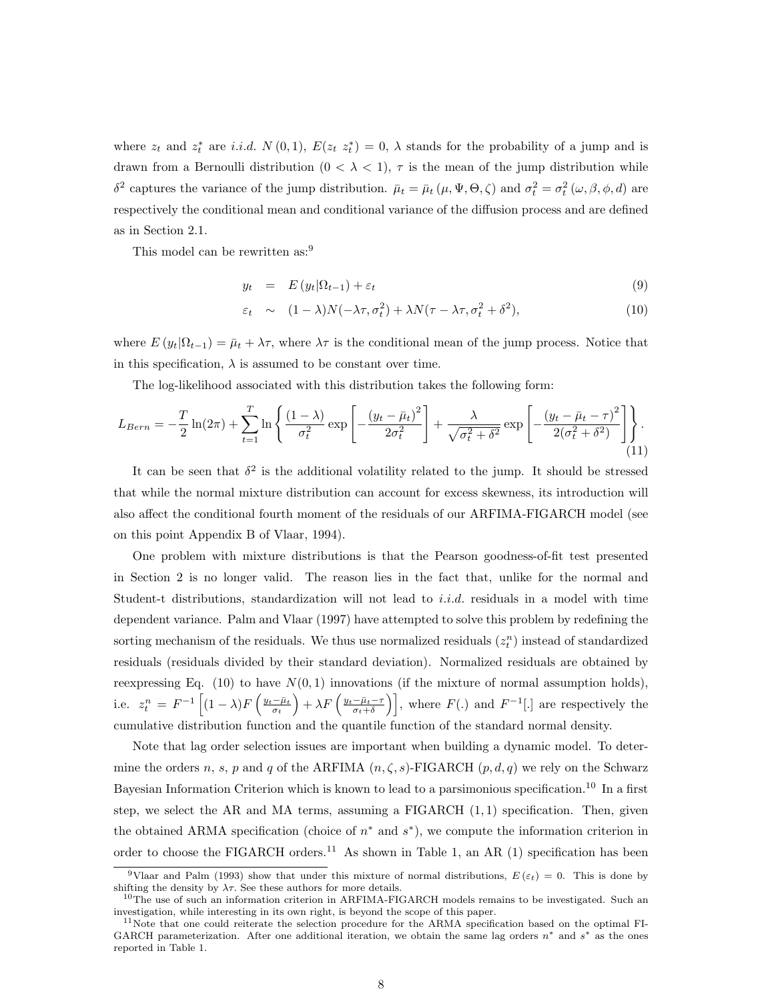where  $z_t$  and  $z_t^*$  are *i.i.d.*  $N(0,1)$ ,  $E(z_t z_t^*) = 0$ ,  $\lambda$  stands for the probability of a jump and is drawn from a Bernoulli distribution  $(0 < \lambda < 1)$ ,  $\tau$  is the mean of the jump distribution while δ<sup>2</sup> captures the variance of the jump distribution.  $\bar{\mu}_t = \bar{\mu}_t(\mu, \Psi, \Theta, \zeta)$  and  $\sigma_t^2 = \sigma_t^2(\omega, \beta, \phi, d)$  are respectively the conditional mean and conditional variance of the diffusion process and are defined as in Section 2.1.

This model can be rewritten as:<sup>9</sup>

$$
y_t = E(y_t|\Omega_{t-1}) + \varepsilon_t \tag{9}
$$

$$
\varepsilon_t \sim (1 - \lambda)N(-\lambda \tau, \sigma_t^2) + \lambda N(\tau - \lambda \tau, \sigma_t^2 + \delta^2), \tag{10}
$$

where  $E(y_t|\Omega_{t-1}) = \bar{\mu}_t + \lambda \tau$ , where  $\lambda \tau$  is the conditional mean of the jump process. Notice that in this specification,  $\lambda$  is assumed to be constant over time.

The log-likelihood associated with this distribution takes the following form:

$$
L_{Bern} = -\frac{T}{2}\ln(2\pi) + \sum_{t=1}^{T}\ln\left\{\frac{(1-\lambda)}{\sigma_t^2}\exp\left[-\frac{(y_t - \bar{\mu}_t)^2}{2\sigma_t^2}\right] + \frac{\lambda}{\sqrt{\sigma_t^2 + \delta^2}}\exp\left[-\frac{(y_t - \bar{\mu}_t - \tau)^2}{2(\sigma_t^2 + \delta^2)}\right]\right\}.
$$
\n(11)

It can be seen that  $\delta^2$  is the additional volatility related to the jump. It should be stressed that while the normal mixture distribution can account for excess skewness, its introduction will also affect the conditional fourth moment of the residuals of our ARFIMA-FIGARCH model (see on this point Appendix B of Vlaar, 1994).

One problem with mixture distributions is that the Pearson goodness-of-fit test presented in Section 2 is no longer valid. The reason lies in the fact that, unlike for the normal and Student-t distributions, standardization will not lead to  $i.i.d.$  residuals in a model with time dependent variance. Palm and Vlaar (1997) have attempted to solve this problem by redefining the sorting mechanism of the residuals. We thus use normalized residuals  $(z_t^n)$  instead of standardized residuals (residuals divided by their standard deviation). Normalized residuals are obtained by reexpressing Eq. (10) to have  $N(0, 1)$  innovations (if the mixture of normal assumption holds), i.e.  $z_t^n = F^{-1}$  $(1 - \lambda)F$  $\frac{y_t-\bar{\mu}_t}{\sigma_t}$  $\left( \begin{matrix} 0,1 \end{matrix} \right) + \lambda F \left( \frac{y_t - \bar{\mu}_t - \tau}{\sigma_t + \delta} \right)$ ו פו<br>ר\ , where  $F(.)$  and  $F^{-1}[.]$  are respectively the cumulative distribution function and the quantile function of the standard normal density.

Note that lag order selection issues are important when building a dynamic model. To determine the orders n, s, p and q of the ARFIMA  $(n, \zeta, s)$ -FIGARCH  $(p, d, q)$  we rely on the Schwarz Bayesian Information Criterion which is known to lead to a parsimonious specification.<sup>10</sup> In a first step, we select the AR and MA terms, assuming a FIGARCH  $(1, 1)$  specification. Then, given the obtained ARMA specification (choice of  $n^*$  and  $s^*$ ), we compute the information criterion in order to choose the FIGARCH orders.<sup>11</sup> As shown in Table 1, an AR (1) specification has been

<sup>&</sup>lt;sup>9</sup>Vlaar and Palm (1993) show that under this mixture of normal distributions,  $E(\varepsilon_t) = 0$ . This is done by shifting the density by  $\lambda \tau$ . See these authors for more details.

 $10$ The use of such an information criterion in ARFIMA-FIGARCH models remains to be investigated. Such an investigation, while interesting in its own right, is beyond the scope of this paper.

<sup>&</sup>lt;sup>11</sup>Note that one could reiterate the selection procedure for the ARMA specification based on the optimal FI-GARCH parameterization. After one additional iteration, we obtain the same lag orders  $n^*$  and  $s^*$  as the ones reported in Table 1.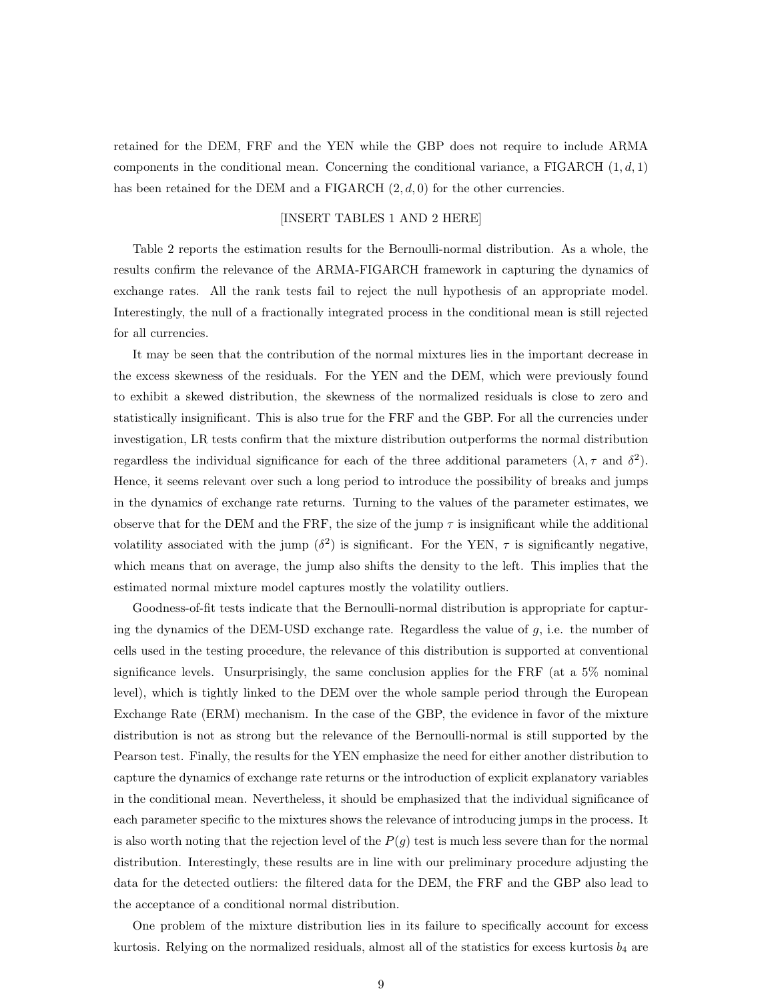retained for the DEM, FRF and the YEN while the GBP does not require to include ARMA components in the conditional mean. Concerning the conditional variance, a FIGARCH  $(1, d, 1)$ has been retained for the DEM and a FIGARCH  $(2, d, 0)$  for the other currencies.

### [INSERT TABLES 1 AND 2 HERE]

Table 2 reports the estimation results for the Bernoulli-normal distribution. As a whole, the results confirm the relevance of the ARMA-FIGARCH framework in capturing the dynamics of exchange rates. All the rank tests fail to reject the null hypothesis of an appropriate model. Interestingly, the null of a fractionally integrated process in the conditional mean is still rejected for all currencies.

It may be seen that the contribution of the normal mixtures lies in the important decrease in the excess skewness of the residuals. For the YEN and the DEM, which were previously found to exhibit a skewed distribution, the skewness of the normalized residuals is close to zero and statistically insignificant. This is also true for the FRF and the GBP. For all the currencies under investigation, LR tests confirm that the mixture distribution outperforms the normal distribution regardless the individual significance for each of the three additional parameters  $(\lambda, \tau \text{ and } \delta^2)$ . Hence, it seems relevant over such a long period to introduce the possibility of breaks and jumps in the dynamics of exchange rate returns. Turning to the values of the parameter estimates, we observe that for the DEM and the FRF, the size of the jump  $\tau$  is insignificant while the additional volatility associated with the jump  $(\delta^2)$  is significant. For the YEN,  $\tau$  is significantly negative, which means that on average, the jump also shifts the density to the left. This implies that the estimated normal mixture model captures mostly the volatility outliers.

Goodness-of-fit tests indicate that the Bernoulli-normal distribution is appropriate for capturing the dynamics of the DEM-USD exchange rate. Regardless the value of  $g$ , i.e. the number of cells used in the testing procedure, the relevance of this distribution is supported at conventional significance levels. Unsurprisingly, the same conclusion applies for the FRF (at a 5% nominal level), which is tightly linked to the DEM over the whole sample period through the European Exchange Rate (ERM) mechanism. In the case of the GBP, the evidence in favor of the mixture distribution is not as strong but the relevance of the Bernoulli-normal is still supported by the Pearson test. Finally, the results for the YEN emphasize the need for either another distribution to capture the dynamics of exchange rate returns or the introduction of explicit explanatory variables in the conditional mean. Nevertheless, it should be emphasized that the individual significance of each parameter specific to the mixtures shows the relevance of introducing jumps in the process. It is also worth noting that the rejection level of the  $P(g)$  test is much less severe than for the normal distribution. Interestingly, these results are in line with our preliminary procedure adjusting the data for the detected outliers: the filtered data for the DEM, the FRF and the GBP also lead to the acceptance of a conditional normal distribution.

One problem of the mixture distribution lies in its failure to specifically account for excess kurtosis. Relying on the normalized residuals, almost all of the statistics for excess kurtosis  $b_4$  are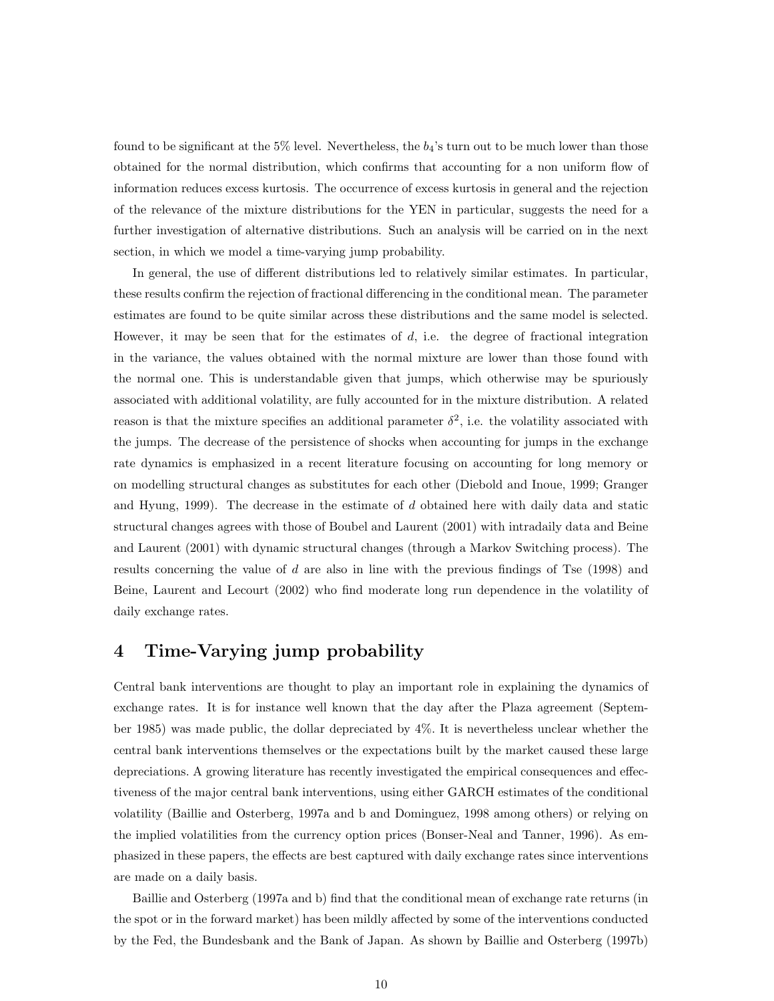found to be significant at the 5% level. Nevertheless, the  $b_4$ 's turn out to be much lower than those obtained for the normal distribution, which confirms that accounting for a non uniform flow of information reduces excess kurtosis. The occurrence of excess kurtosis in general and the rejection of the relevance of the mixture distributions for the YEN in particular, suggests the need for a further investigation of alternative distributions. Such an analysis will be carried on in the next section, in which we model a time-varying jump probability.

In general, the use of different distributions led to relatively similar estimates. In particular, these results confirm the rejection of fractional differencing in the conditional mean. The parameter estimates are found to be quite similar across these distributions and the same model is selected. However, it may be seen that for the estimates of  $d$ , i.e. the degree of fractional integration in the variance, the values obtained with the normal mixture are lower than those found with the normal one. This is understandable given that jumps, which otherwise may be spuriously associated with additional volatility, are fully accounted for in the mixture distribution. A related reason is that the mixture specifies an additional parameter  $\delta^2$ , i.e. the volatility associated with the jumps. The decrease of the persistence of shocks when accounting for jumps in the exchange rate dynamics is emphasized in a recent literature focusing on accounting for long memory or on modelling structural changes as substitutes for each other (Diebold and Inoue, 1999; Granger and Hyung, 1999). The decrease in the estimate of d obtained here with daily data and static structural changes agrees with those of Boubel and Laurent (2001) with intradaily data and Beine and Laurent (2001) with dynamic structural changes (through a Markov Switching process). The results concerning the value of  $d$  are also in line with the previous findings of Tse  $(1998)$  and Beine, Laurent and Lecourt (2002) who find moderate long run dependence in the volatility of daily exchange rates.

# 4 Time-Varying jump probability

Central bank interventions are thought to play an important role in explaining the dynamics of exchange rates. It is for instance well known that the day after the Plaza agreement (September 1985) was made public, the dollar depreciated by 4%. It is nevertheless unclear whether the central bank interventions themselves or the expectations built by the market caused these large depreciations. A growing literature has recently investigated the empirical consequences and effectiveness of the major central bank interventions, using either GARCH estimates of the conditional volatility (Baillie and Osterberg, 1997a and b and Dominguez, 1998 among others) or relying on the implied volatilities from the currency option prices (Bonser-Neal and Tanner, 1996). As emphasized in these papers, the effects are best captured with daily exchange rates since interventions are made on a daily basis.

Baillie and Osterberg (1997a and b) find that the conditional mean of exchange rate returns (in the spot or in the forward market) has been mildly affected by some of the interventions conducted by the Fed, the Bundesbank and the Bank of Japan. As shown by Baillie and Osterberg (1997b)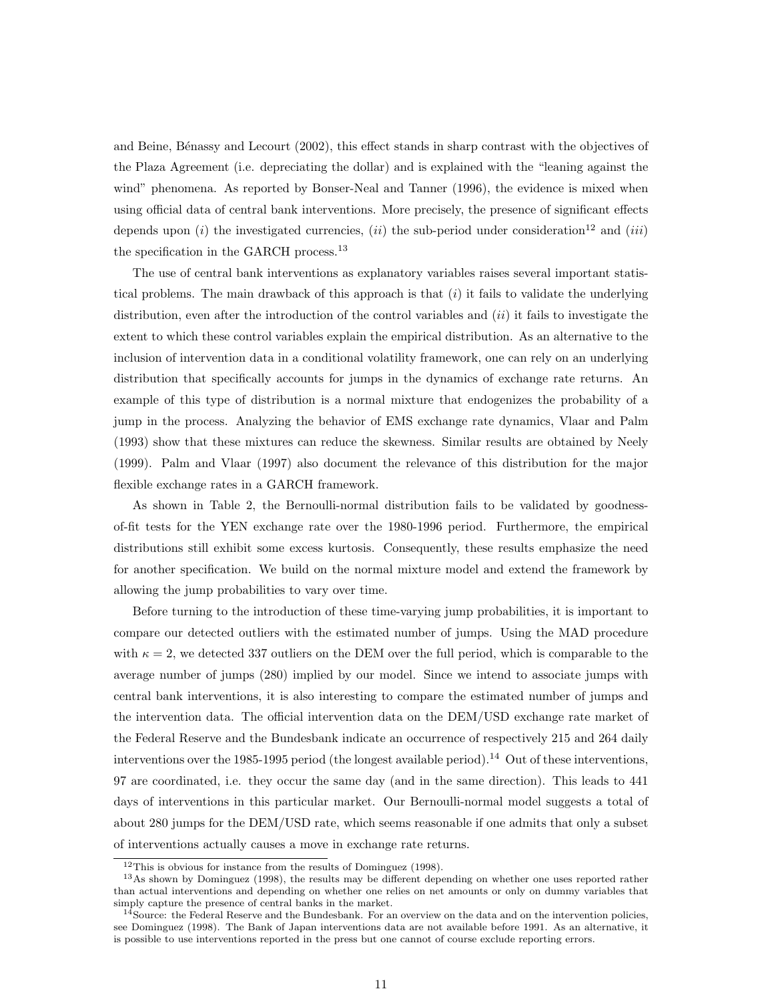and Beine, Bénassy and Lecourt (2002), this effect stands in sharp contrast with the objectives of the Plaza Agreement (i.e. depreciating the dollar) and is explained with the "leaning against the wind" phenomena. As reported by Bonser-Neal and Tanner (1996), the evidence is mixed when using official data of central bank interventions. More precisely, the presence of significant effects depends upon (i) the investigated currencies, (ii) the sub-period under consideration<sup>12</sup> and (iii) the specification in the GARCH process.<sup>13</sup>

The use of central bank interventions as explanatory variables raises several important statistical problems. The main drawback of this approach is that  $(i)$  it fails to validate the underlying distribution, even after the introduction of the control variables and  $(ii)$  it fails to investigate the extent to which these control variables explain the empirical distribution. As an alternative to the inclusion of intervention data in a conditional volatility framework, one can rely on an underlying distribution that specifically accounts for jumps in the dynamics of exchange rate returns. An example of this type of distribution is a normal mixture that endogenizes the probability of a jump in the process. Analyzing the behavior of EMS exchange rate dynamics, Vlaar and Palm (1993) show that these mixtures can reduce the skewness. Similar results are obtained by Neely (1999). Palm and Vlaar (1997) also document the relevance of this distribution for the major flexible exchange rates in a GARCH framework.

As shown in Table 2, the Bernoulli-normal distribution fails to be validated by goodnessof-fit tests for the YEN exchange rate over the 1980-1996 period. Furthermore, the empirical distributions still exhibit some excess kurtosis. Consequently, these results emphasize the need for another specification. We build on the normal mixture model and extend the framework by allowing the jump probabilities to vary over time.

Before turning to the introduction of these time-varying jump probabilities, it is important to compare our detected outliers with the estimated number of jumps. Using the MAD procedure with  $\kappa = 2$ , we detected 337 outliers on the DEM over the full period, which is comparable to the average number of jumps (280) implied by our model. Since we intend to associate jumps with central bank interventions, it is also interesting to compare the estimated number of jumps and the intervention data. The official intervention data on the DEM/USD exchange rate market of the Federal Reserve and the Bundesbank indicate an occurrence of respectively 215 and 264 daily interventions over the 1985-1995 period (the longest available period).<sup>14</sup> Out of these interventions, 97 are coordinated, i.e. they occur the same day (and in the same direction). This leads to 441 days of interventions in this particular market. Our Bernoulli-normal model suggests a total of about 280 jumps for the DEM/USD rate, which seems reasonable if one admits that only a subset of interventions actually causes a move in exchange rate returns.

 $12$ This is obvious for instance from the results of Dominguez (1998).

<sup>&</sup>lt;sup>13</sup>As shown by Dominguez (1998), the results may be different depending on whether one uses reported rather than actual interventions and depending on whether one relies on net amounts or only on dummy variables that simply capture the presence of central banks in the market.

 $14$ Source: the Federal Reserve and the Bundesbank. For an overview on the data and on the intervention policies, see Dominguez (1998). The Bank of Japan interventions data are not available before 1991. As an alternative, it is possible to use interventions reported in the press but one cannot of course exclude reporting errors.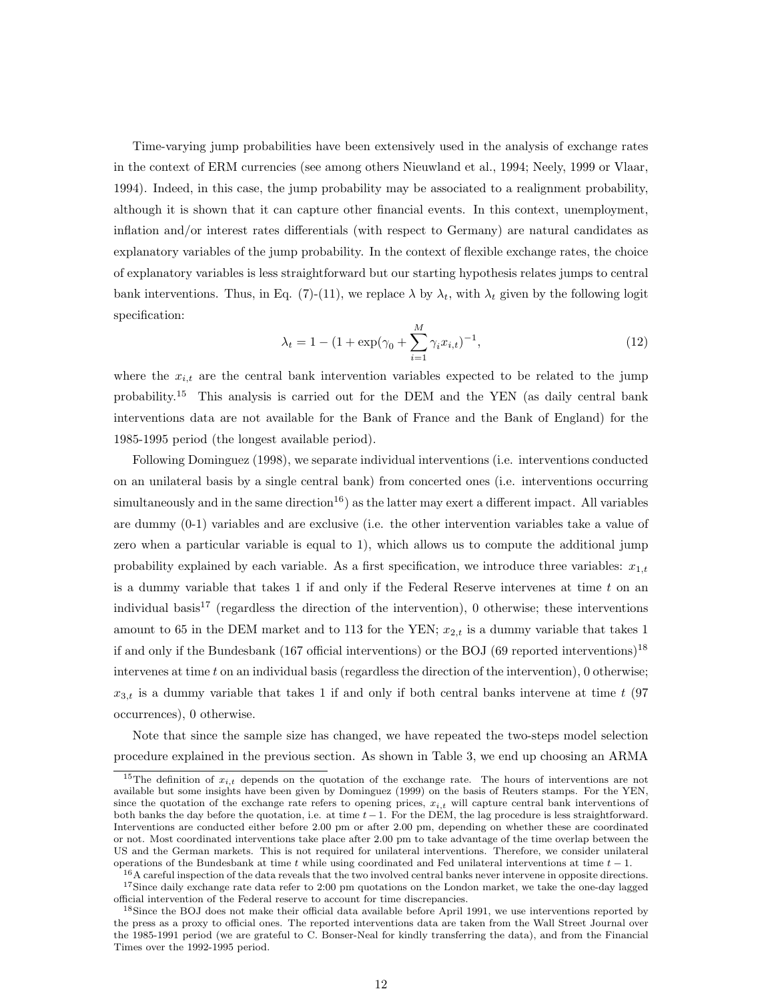Time-varying jump probabilities have been extensively used in the analysis of exchange rates in the context of ERM currencies (see among others Nieuwland et al., 1994; Neely, 1999 or Vlaar, 1994). Indeed, in this case, the jump probability may be associated to a realignment probability, although it is shown that it can capture other financial events. In this context, unemployment, inflation and/or interest rates differentials (with respect to Germany) are natural candidates as explanatory variables of the jump probability. In the context of flexible exchange rates, the choice of explanatory variables is less straightforward but our starting hypothesis relates jumps to central bank interventions. Thus, in Eq. (7)-(11), we replace  $\lambda$  by  $\lambda_t$ , with  $\lambda_t$  given by the following logit specification:

$$
\lambda_t = 1 - (1 + \exp(\gamma_0 + \sum_{i=1}^{M} \gamma_i x_{i,t})^{-1}, \tag{12}
$$

where the  $x_{i,t}$  are the central bank intervention variables expected to be related to the jump probability.<sup>15</sup> This analysis is carried out for the DEM and the YEN (as daily central bank interventions data are not available for the Bank of France and the Bank of England) for the 1985-1995 period (the longest available period).

Following Dominguez (1998), we separate individual interventions (i.e. interventions conducted on an unilateral basis by a single central bank) from concerted ones (i.e. interventions occurring simultaneously and in the same direction<sup>16</sup>) as the latter may exert a different impact. All variables are dummy (0-1) variables and are exclusive (i.e. the other intervention variables take a value of zero when a particular variable is equal to 1), which allows us to compute the additional jump probability explained by each variable. As a first specification, we introduce three variables:  $x_{1,t}$ is a dummy variable that takes 1 if and only if the Federal Reserve intervenes at time  $t$  on an individual basis<sup>17</sup> (regardless the direction of the intervention), 0 otherwise; these interventions amount to 65 in the DEM market and to 113 for the YEN;  $x_{2,t}$  is a dummy variable that takes 1 if and only if the Bundesbank (167 official interventions) or the BOJ (69 reported interventions)<sup>18</sup> intervenes at time t on an individual basis (regardless the direction of the intervention), 0 otherwise;  $x_{3,t}$  is a dummy variable that takes 1 if and only if both central banks intervene at time t (97) occurrences), 0 otherwise.

Note that since the sample size has changed, we have repeated the two-steps model selection procedure explained in the previous section. As shown in Table 3, we end up choosing an ARMA

<sup>&</sup>lt;sup>15</sup>The definition of  $x_{i,t}$  depends on the quotation of the exchange rate. The hours of interventions are not available but some insights have been given by Dominguez (1999) on the basis of Reuters stamps. For the YEN, since the quotation of the exchange rate refers to opening prices,  $x_{i,t}$  will capture central bank interventions of both banks the day before the quotation, i.e. at time  $t - 1$ . For the DEM, the lag procedure is less straightforward. Interventions are conducted either before 2.00 pm or after 2.00 pm, depending on whether these are coordinated or not. Most coordinated interventions take place after 2.00 pm to take advantage of the time overlap between the US and the German markets. This is not required for unilateral interventions. Therefore, we consider unilateral operations of the Bundesbank at time t while using coordinated and Fed unilateral interventions at time  $t - 1$ .

<sup>&</sup>lt;sup>16</sup>A careful inspection of the data reveals that the two involved central banks never intervene in opposite directions. <sup>17</sup>Since daily exchange rate data refer to 2:00 pm quotations on the London market, we take the one-day lagged official intervention of the Federal reserve to account for time discrepancies.

<sup>&</sup>lt;sup>18</sup>Since the BOJ does not make their official data available before April 1991, we use interventions reported by the press as a proxy to official ones. The reported interventions data are taken from the Wall Street Journal over the 1985-1991 period (we are grateful to C. Bonser-Neal for kindly transferring the data), and from the Financial Times over the 1992-1995 period.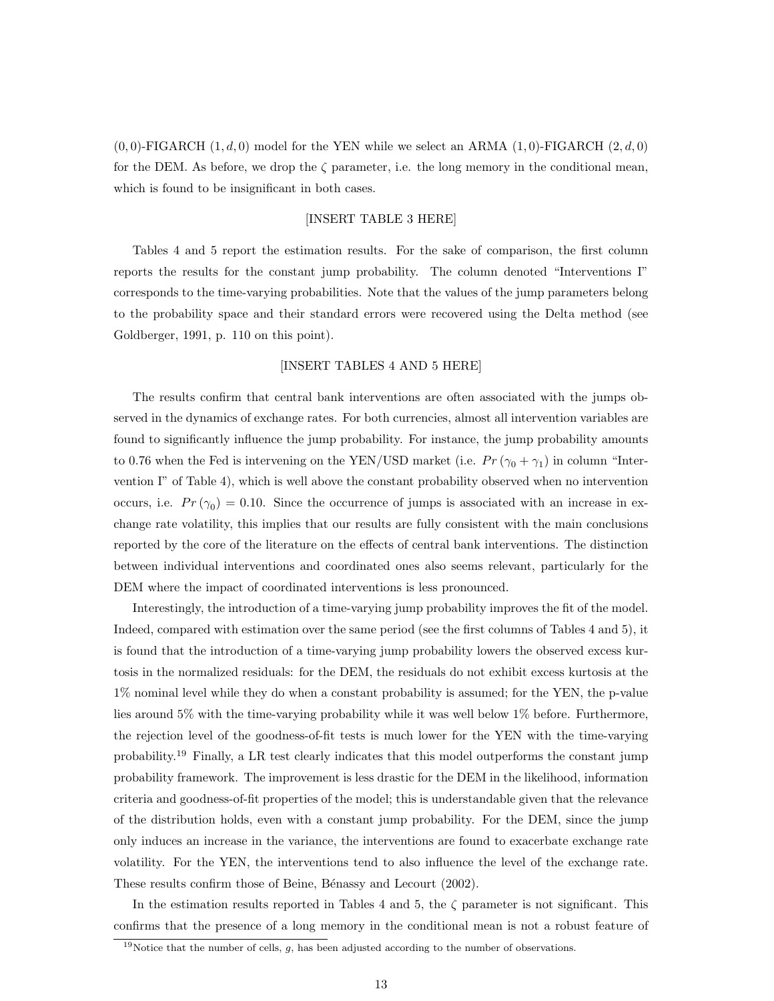$(0, 0)$ -FIGARCH  $(1, d, 0)$  model for the YEN while we select an ARMA  $(1, 0)$ -FIGARCH  $(2, d, 0)$ for the DEM. As before, we drop the  $\zeta$  parameter, i.e. the long memory in the conditional mean, which is found to be insignificant in both cases.

### [INSERT TABLE 3 HERE]

Tables 4 and 5 report the estimation results. For the sake of comparison, the first column reports the results for the constant jump probability. The column denoted "Interventions I" corresponds to the time-varying probabilities. Note that the values of the jump parameters belong to the probability space and their standard errors were recovered using the Delta method (see Goldberger, 1991, p. 110 on this point).

## [INSERT TABLES 4 AND 5 HERE]

The results confirm that central bank interventions are often associated with the jumps observed in the dynamics of exchange rates. For both currencies, almost all intervention variables are found to significantly influence the jump probability. For instance, the jump probability amounts to 0.76 when the Fed is intervening on the YEN/USD market (i.e.  $Pr(\gamma_0 + \gamma_1)$  in column "Intervention I" of Table 4), which is well above the constant probability observed when no intervention occurs, i.e.  $Pr(\gamma_0) = 0.10$ . Since the occurrence of jumps is associated with an increase in exchange rate volatility, this implies that our results are fully consistent with the main conclusions reported by the core of the literature on the effects of central bank interventions. The distinction between individual interventions and coordinated ones also seems relevant, particularly for the DEM where the impact of coordinated interventions is less pronounced.

Interestingly, the introduction of a time-varying jump probability improves the fit of the model. Indeed, compared with estimation over the same period (see the first columns of Tables 4 and 5), it is found that the introduction of a time-varying jump probability lowers the observed excess kurtosis in the normalized residuals: for the DEM, the residuals do not exhibit excess kurtosis at the 1% nominal level while they do when a constant probability is assumed; for the YEN, the p-value lies around 5% with the time-varying probability while it was well below 1% before. Furthermore, the rejection level of the goodness-of-fit tests is much lower for the YEN with the time-varying probability.<sup>19</sup> Finally, a LR test clearly indicates that this model outperforms the constant jump probability framework. The improvement is less drastic for the DEM in the likelihood, information criteria and goodness-of-fit properties of the model; this is understandable given that the relevance of the distribution holds, even with a constant jump probability. For the DEM, since the jump only induces an increase in the variance, the interventions are found to exacerbate exchange rate volatility. For the YEN, the interventions tend to also influence the level of the exchange rate. These results confirm those of Beine, Bénassy and Lecourt (2002).

In the estimation results reported in Tables 4 and 5, the  $\zeta$  parameter is not significant. This confirms that the presence of a long memory in the conditional mean is not a robust feature of

<sup>&</sup>lt;sup>19</sup>Notice that the number of cells,  $g$ , has been adjusted according to the number of observations.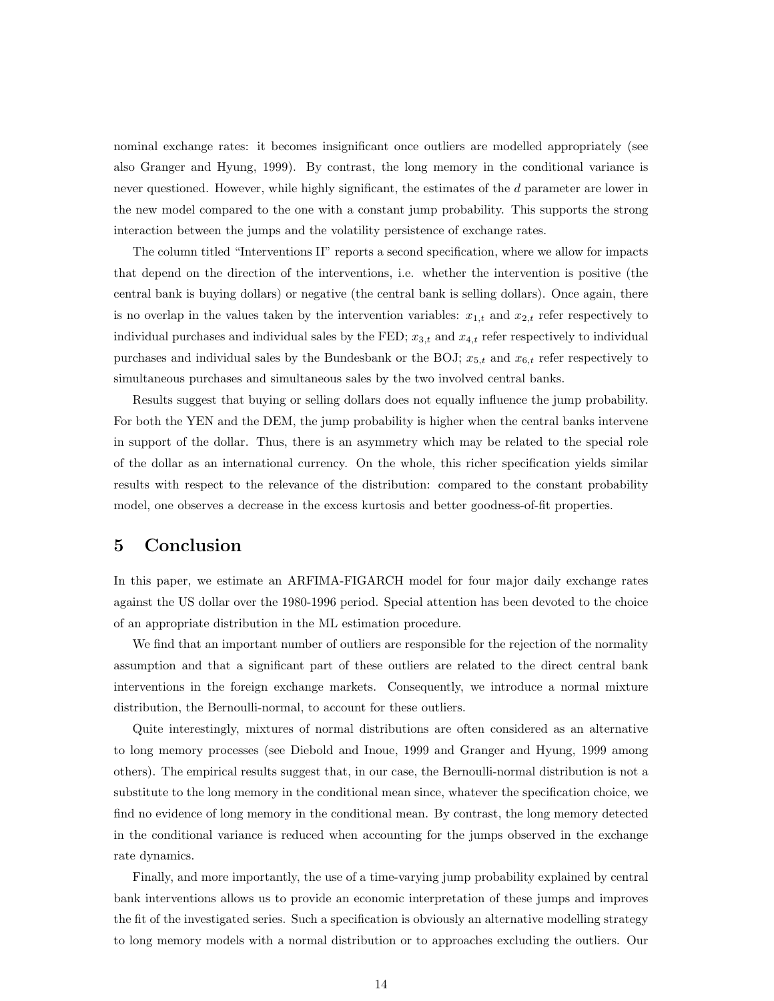nominal exchange rates: it becomes insignificant once outliers are modelled appropriately (see also Granger and Hyung, 1999). By contrast, the long memory in the conditional variance is never questioned. However, while highly significant, the estimates of the d parameter are lower in the new model compared to the one with a constant jump probability. This supports the strong interaction between the jumps and the volatility persistence of exchange rates.

The column titled "Interventions II" reports a second specification, where we allow for impacts that depend on the direction of the interventions, i.e. whether the intervention is positive (the central bank is buying dollars) or negative (the central bank is selling dollars). Once again, there is no overlap in the values taken by the intervention variables:  $x_{1,t}$  and  $x_{2,t}$  refer respectively to individual purchases and individual sales by the FED;  $x_{3,t}$  and  $x_{4,t}$  refer respectively to individual purchases and individual sales by the Bundesbank or the BOJ;  $x_{5,t}$  and  $x_{6,t}$  refer respectively to simultaneous purchases and simultaneous sales by the two involved central banks.

Results suggest that buying or selling dollars does not equally influence the jump probability. For both the YEN and the DEM, the jump probability is higher when the central banks intervene in support of the dollar. Thus, there is an asymmetry which may be related to the special role of the dollar as an international currency. On the whole, this richer specification yields similar results with respect to the relevance of the distribution: compared to the constant probability model, one observes a decrease in the excess kurtosis and better goodness-of-fit properties.

## 5 Conclusion

In this paper, we estimate an ARFIMA-FIGARCH model for four major daily exchange rates against the US dollar over the 1980-1996 period. Special attention has been devoted to the choice of an appropriate distribution in the ML estimation procedure.

We find that an important number of outliers are responsible for the rejection of the normality assumption and that a significant part of these outliers are related to the direct central bank interventions in the foreign exchange markets. Consequently, we introduce a normal mixture distribution, the Bernoulli-normal, to account for these outliers.

Quite interestingly, mixtures of normal distributions are often considered as an alternative to long memory processes (see Diebold and Inoue, 1999 and Granger and Hyung, 1999 among others). The empirical results suggest that, in our case, the Bernoulli-normal distribution is not a substitute to the long memory in the conditional mean since, whatever the specification choice, we find no evidence of long memory in the conditional mean. By contrast, the long memory detected in the conditional variance is reduced when accounting for the jumps observed in the exchange rate dynamics.

Finally, and more importantly, the use of a time-varying jump probability explained by central bank interventions allows us to provide an economic interpretation of these jumps and improves the fit of the investigated series. Such a specification is obviously an alternative modelling strategy to long memory models with a normal distribution or to approaches excluding the outliers. Our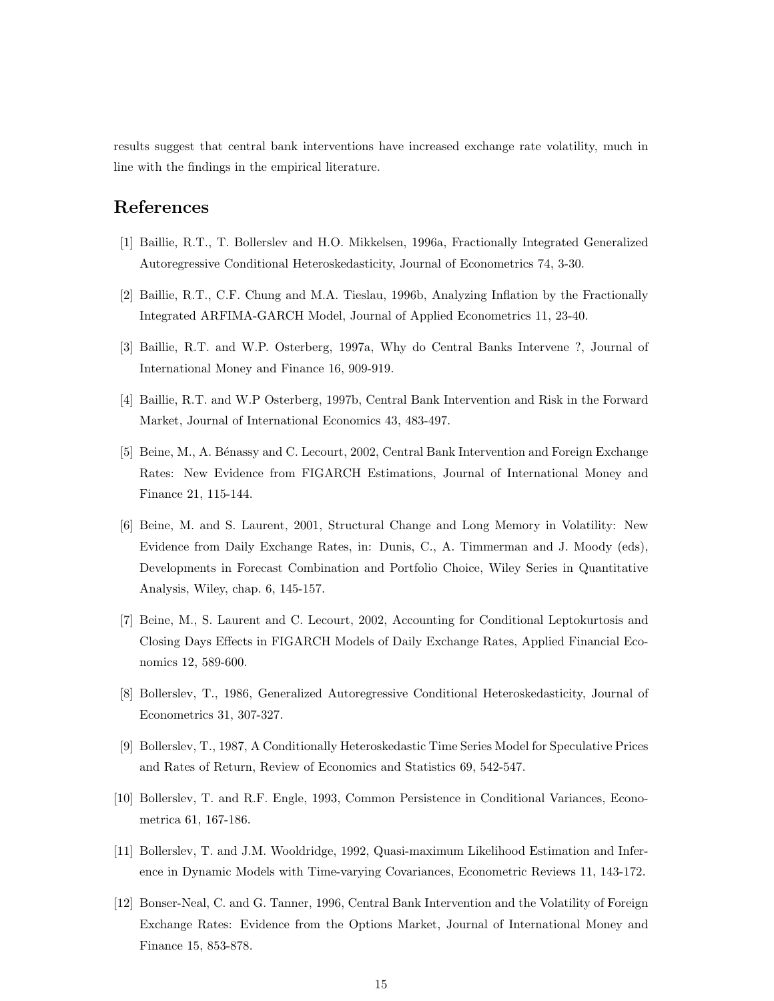results suggest that central bank interventions have increased exchange rate volatility, much in line with the findings in the empirical literature.

# References

- [1] Baillie, R.T., T. Bollerslev and H.O. Mikkelsen, 1996a, Fractionally Integrated Generalized Autoregressive Conditional Heteroskedasticity, Journal of Econometrics 74, 3-30.
- [2] Baillie, R.T., C.F. Chung and M.A. Tieslau, 1996b, Analyzing Inflation by the Fractionally Integrated ARFIMA-GARCH Model, Journal of Applied Econometrics 11, 23-40.
- [3] Baillie, R.T. and W.P. Osterberg, 1997a, Why do Central Banks Intervene ?, Journal of International Money and Finance 16, 909-919.
- [4] Baillie, R.T. and W.P Osterberg, 1997b, Central Bank Intervention and Risk in the Forward Market, Journal of International Economics 43, 483-497.
- [5] Beine, M., A. Bénassy and C. Lecourt, 2002, Central Bank Intervention and Foreign Exchange Rates: New Evidence from FIGARCH Estimations, Journal of International Money and Finance 21, 115-144.
- [6] Beine, M. and S. Laurent, 2001, Structural Change and Long Memory in Volatility: New Evidence from Daily Exchange Rates, in: Dunis, C., A. Timmerman and J. Moody (eds), Developments in Forecast Combination and Portfolio Choice, Wiley Series in Quantitative Analysis, Wiley, chap. 6, 145-157.
- [7] Beine, M., S. Laurent and C. Lecourt, 2002, Accounting for Conditional Leptokurtosis and Closing Days Effects in FIGARCH Models of Daily Exchange Rates, Applied Financial Economics 12, 589-600.
- [8] Bollerslev, T., 1986, Generalized Autoregressive Conditional Heteroskedasticity, Journal of Econometrics 31, 307-327.
- [9] Bollerslev, T., 1987, A Conditionally Heteroskedastic Time Series Model for Speculative Prices and Rates of Return, Review of Economics and Statistics 69, 542-547.
- [10] Bollerslev, T. and R.F. Engle, 1993, Common Persistence in Conditional Variances, Econometrica 61, 167-186.
- [11] Bollerslev, T. and J.M. Wooldridge, 1992, Quasi-maximum Likelihood Estimation and Inference in Dynamic Models with Time-varying Covariances, Econometric Reviews 11, 143-172.
- [12] Bonser-Neal, C. and G. Tanner, 1996, Central Bank Intervention and the Volatility of Foreign Exchange Rates: Evidence from the Options Market, Journal of International Money and Finance 15, 853-878.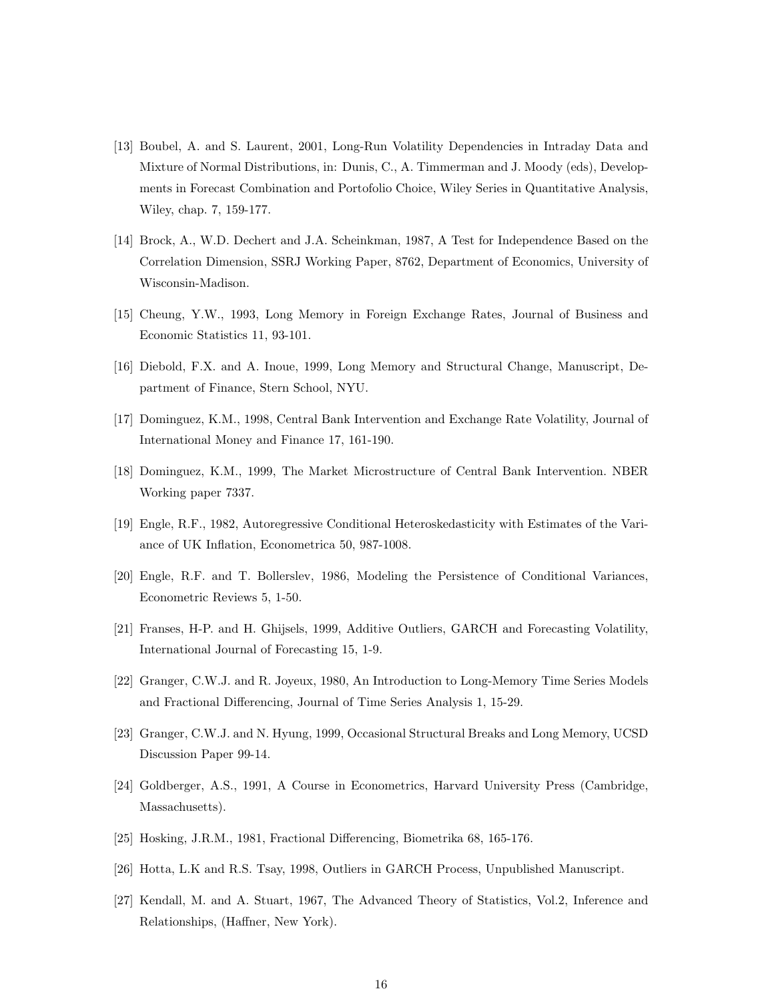- [13] Boubel, A. and S. Laurent, 2001, Long-Run Volatility Dependencies in Intraday Data and Mixture of Normal Distributions, in: Dunis, C., A. Timmerman and J. Moody (eds), Developments in Forecast Combination and Portofolio Choice, Wiley Series in Quantitative Analysis, Wiley, chap. 7, 159-177.
- [14] Brock, A., W.D. Dechert and J.A. Scheinkman, 1987, A Test for Independence Based on the Correlation Dimension, SSRJ Working Paper, 8762, Department of Economics, University of Wisconsin-Madison.
- [15] Cheung, Y.W., 1993, Long Memory in Foreign Exchange Rates, Journal of Business and Economic Statistics 11, 93-101.
- [16] Diebold, F.X. and A. Inoue, 1999, Long Memory and Structural Change, Manuscript, Department of Finance, Stern School, NYU.
- [17] Dominguez, K.M., 1998, Central Bank Intervention and Exchange Rate Volatility, Journal of International Money and Finance 17, 161-190.
- [18] Dominguez, K.M., 1999, The Market Microstructure of Central Bank Intervention. NBER Working paper 7337.
- [19] Engle, R.F., 1982, Autoregressive Conditional Heteroskedasticity with Estimates of the Variance of UK Inflation, Econometrica 50, 987-1008.
- [20] Engle, R.F. and T. Bollerslev, 1986, Modeling the Persistence of Conditional Variances, Econometric Reviews 5, 1-50.
- [21] Franses, H-P. and H. Ghijsels, 1999, Additive Outliers, GARCH and Forecasting Volatility, International Journal of Forecasting 15, 1-9.
- [22] Granger, C.W.J. and R. Joyeux, 1980, An Introduction to Long-Memory Time Series Models and Fractional Differencing, Journal of Time Series Analysis 1, 15-29.
- [23] Granger, C.W.J. and N. Hyung, 1999, Occasional Structural Breaks and Long Memory, UCSD Discussion Paper 99-14.
- [24] Goldberger, A.S., 1991, A Course in Econometrics, Harvard University Press (Cambridge, Massachusetts).
- [25] Hosking, J.R.M., 1981, Fractional Differencing, Biometrika 68, 165-176.
- [26] Hotta, L.K and R.S. Tsay, 1998, Outliers in GARCH Process, Unpublished Manuscript.
- [27] Kendall, M. and A. Stuart, 1967, The Advanced Theory of Statistics, Vol.2, Inference and Relationships, (Haffner, New York).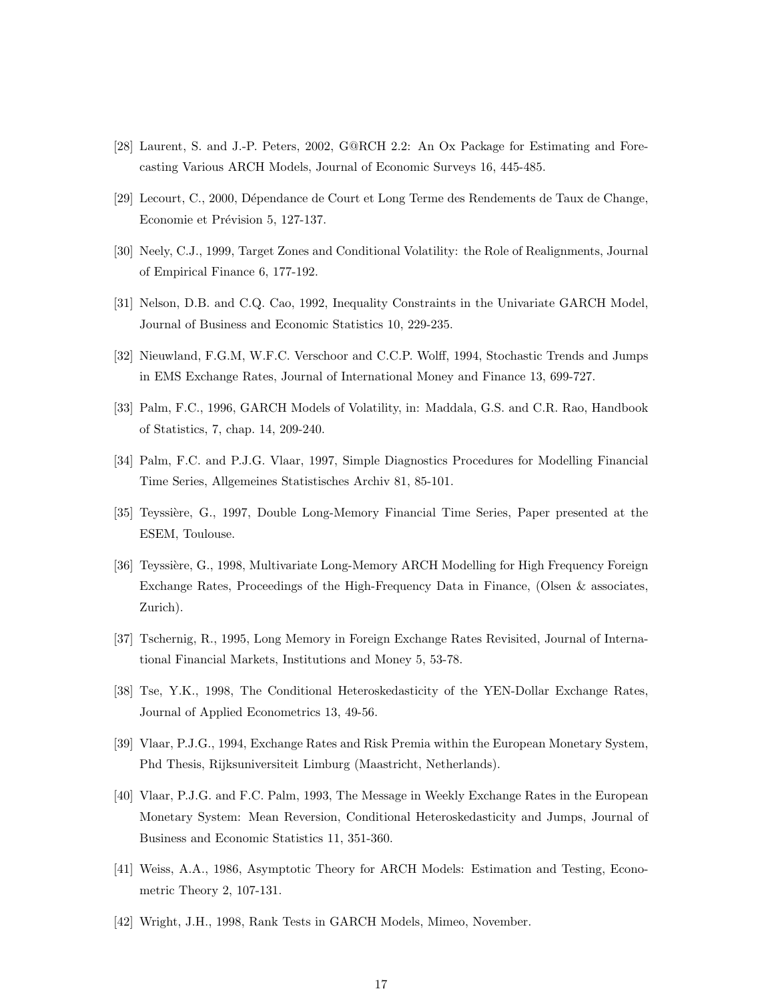- [28] Laurent, S. and J.-P. Peters, 2002, G@RCH 2.2: An Ox Package for Estimating and Forecasting Various ARCH Models, Journal of Economic Surveys 16, 445-485.
- [29] Lecourt, C., 2000, D´ependance de Court et Long Terme des Rendements de Taux de Change, Economie et Prévision 5, 127-137.
- [30] Neely, C.J., 1999, Target Zones and Conditional Volatility: the Role of Realignments, Journal of Empirical Finance 6, 177-192.
- [31] Nelson, D.B. and C.Q. Cao, 1992, Inequality Constraints in the Univariate GARCH Model, Journal of Business and Economic Statistics 10, 229-235.
- [32] Nieuwland, F.G.M, W.F.C. Verschoor and C.C.P. Wolff, 1994, Stochastic Trends and Jumps in EMS Exchange Rates, Journal of International Money and Finance 13, 699-727.
- [33] Palm, F.C., 1996, GARCH Models of Volatility, in: Maddala, G.S. and C.R. Rao, Handbook of Statistics, 7, chap. 14, 209-240.
- [34] Palm, F.C. and P.J.G. Vlaar, 1997, Simple Diagnostics Procedures for Modelling Financial Time Series, Allgemeines Statistisches Archiv 81, 85-101.
- [35] Teyssière, G., 1997, Double Long-Memory Financial Time Series, Paper presented at the ESEM, Toulouse.
- [36] Teyssière, G., 1998, Multivariate Long-Memory ARCH Modelling for High Frequency Foreign Exchange Rates, Proceedings of the High-Frequency Data in Finance, (Olsen & associates, Zurich).
- [37] Tschernig, R., 1995, Long Memory in Foreign Exchange Rates Revisited, Journal of International Financial Markets, Institutions and Money 5, 53-78.
- [38] Tse, Y.K., 1998, The Conditional Heteroskedasticity of the YEN-Dollar Exchange Rates, Journal of Applied Econometrics 13, 49-56.
- [39] Vlaar, P.J.G., 1994, Exchange Rates and Risk Premia within the European Monetary System, Phd Thesis, Rijksuniversiteit Limburg (Maastricht, Netherlands).
- [40] Vlaar, P.J.G. and F.C. Palm, 1993, The Message in Weekly Exchange Rates in the European Monetary System: Mean Reversion, Conditional Heteroskedasticity and Jumps, Journal of Business and Economic Statistics 11, 351-360.
- [41] Weiss, A.A., 1986, Asymptotic Theory for ARCH Models: Estimation and Testing, Econometric Theory 2, 107-131.
- [42] Wright, J.H., 1998, Rank Tests in GARCH Models, Mimeo, November.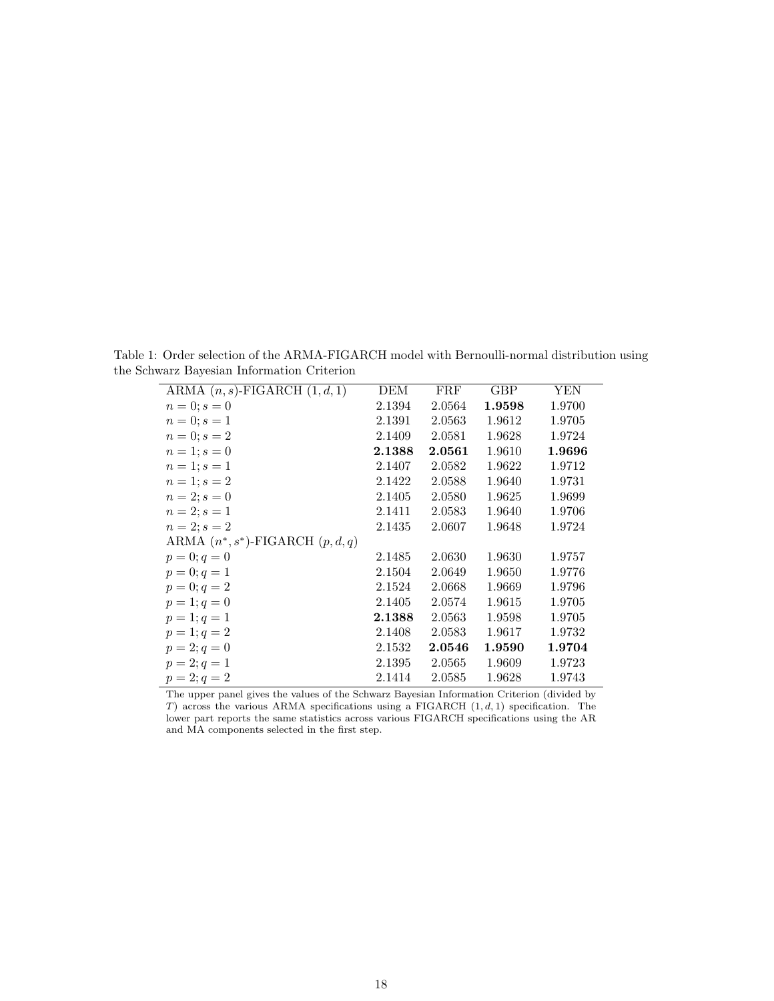Table 1: Order selection of the ARMA-FIGARCH model with Bernoulli-normal distribution using the Schwarz Bayesian Information Criterion

| ARMA $(n, s)$ -FIGARCH $(1, d, 1)$     | DEM    | FRF    | GBP    | YEN    |
|----------------------------------------|--------|--------|--------|--------|
| $n = 0$ ; $s = 0$                      | 2.1394 | 2.0564 | 1.9598 | 1.9700 |
| $n = 0$ ; $s = 1$                      | 2.1391 | 2.0563 | 1.9612 | 1.9705 |
| $n = 0$ ; $s = 2$                      | 2.1409 | 2.0581 | 1.9628 | 1.9724 |
| $n = 1$ ; $s = 0$                      | 2.1388 | 2.0561 | 1.9610 | 1.9696 |
| $n = 1$ ; $s = 1$                      | 2.1407 | 2.0582 | 1.9622 | 1.9712 |
| $n=1$ ; $s=2$                          | 2.1422 | 2.0588 | 1.9640 | 1.9731 |
| $n = 2$ ; $s = 0$                      | 2.1405 | 2.0580 | 1.9625 | 1.9699 |
| $n = 2$ ; $s = 1$                      | 2.1411 | 2.0583 | 1.9640 | 1.9706 |
| $n = 2$ ; $s = 2$                      | 2.1435 | 2.0607 | 1.9648 | 1.9724 |
| ARMA $(n^*, s^*)$ -FIGARCH $(p, d, q)$ |        |        |        |        |
| $p = 0; q = 0$                         | 2.1485 | 2.0630 | 1.9630 | 1.9757 |
| $p=0; q=1$                             | 2.1504 | 2.0649 | 1.9650 | 1.9776 |
| $p = 0; q = 2$                         | 2.1524 | 2.0668 | 1.9669 | 1.9796 |
| $p=1; q=0$                             | 2.1405 | 2.0574 | 1.9615 | 1.9705 |
| $p=1; q=1$                             | 2.1388 | 2.0563 | 1.9598 | 1.9705 |
| $p=1; q=2$                             | 2.1408 | 2.0583 | 1.9617 | 1.9732 |
| $p = 2; q = 0$                         | 2.1532 | 2.0546 | 1.9590 | 1.9704 |
| $p = 2; q = 1$                         | 2.1395 | 2.0565 | 1.9609 | 1.9723 |
| $p = 2; q = 2$                         | 2.1414 | 2.0585 | 1.9628 | 1.9743 |

The upper panel gives the values of the Schwarz Bayesian Information Criterion (divided by T) across the various ARMA specifications using a FIGARCH  $(1, d, 1)$  specification. The lower part reports the same statistics across various FIGARCH specifications using the AR and MA components selected in the first step.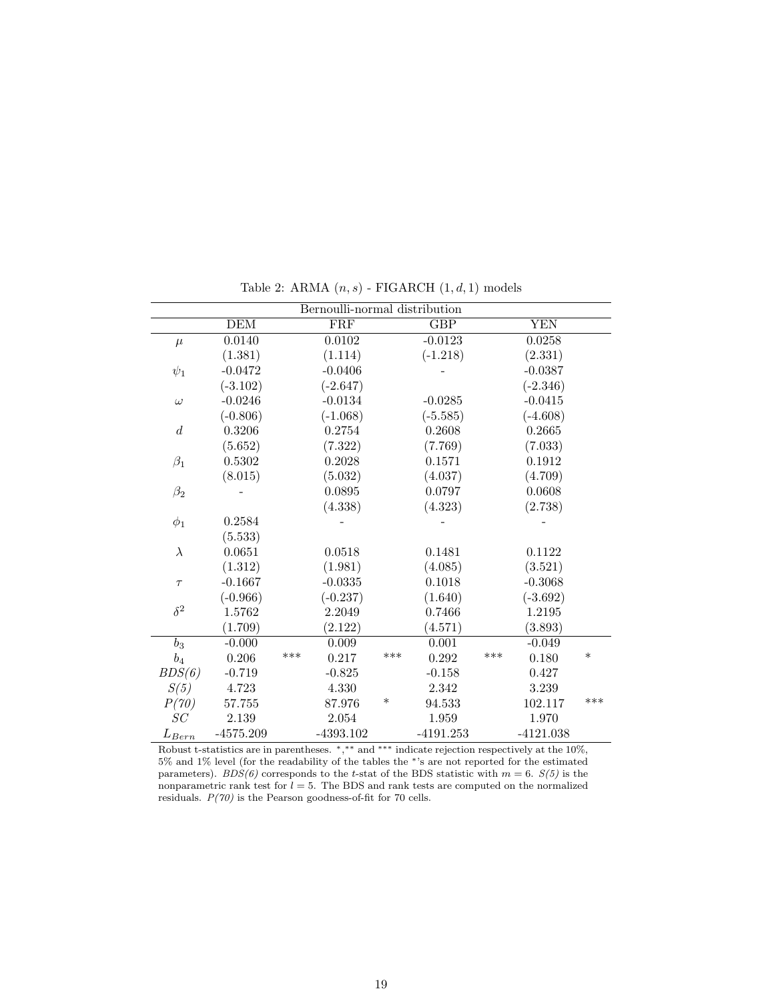| Bernoulli-normal distribution |             |     |             |        |                         |     |             |        |
|-------------------------------|-------------|-----|-------------|--------|-------------------------|-----|-------------|--------|
|                               | DEM         |     | ${\rm FRF}$ |        | $\overline{\text{GBP}}$ |     | <b>YEN</b>  |        |
| $\mu$                         | 0.0140      |     | 0.0102      |        | $-0.0123$               |     | 0.0258      |        |
|                               | (1.381)     |     | (1.114)     |        | $(-1.218)$              |     | (2.331)     |        |
| $\psi_1$                      | $-0.0472$   |     | $-0.0406$   |        |                         |     | $-0.0387$   |        |
|                               | $(-3.102)$  |     | $(-2.647)$  |        |                         |     | $(-2.346)$  |        |
| $\omega$                      | $-0.0246$   |     | $-0.0134$   |        | $-0.0285$               |     | $-0.0415$   |        |
|                               | $(-0.806)$  |     | $(-1.068)$  |        | $(-5.585)$              |     | $(-4.608)$  |        |
| $\boldsymbol{d}$              | 0.3206      |     | 0.2754      |        | 0.2608                  |     | 0.2665      |        |
|                               | (5.652)     |     | (7.322)     |        | (7.769)                 |     | (7.033)     |        |
| $\beta_1$                     | 0.5302      |     | 0.2028      |        | 0.1571                  |     | 0.1912      |        |
|                               | (8.015)     |     | (5.032)     |        | (4.037)                 |     | (4.709)     |        |
| $\beta_2$                     |             |     | 0.0895      |        | 0.0797                  |     | 0.0608      |        |
|                               |             |     | (4.338)     |        | (4.323)                 |     | (2.738)     |        |
| $\phi_1$                      | 0.2584      |     |             |        |                         |     |             |        |
|                               | (5.533)     |     |             |        |                         |     |             |        |
| $\lambda$                     | 0.0651      |     | 0.0518      |        | 0.1481                  |     | 0.1122      |        |
|                               | (1.312)     |     | (1.981)     |        | (4.085)                 |     | (3.521)     |        |
| $\tau$                        | $-0.1667$   |     | $-0.0335$   |        | 0.1018                  |     | $-0.3068$   |        |
|                               | $(-0.966)$  |     | $(-0.237)$  |        | (1.640)                 |     | $(-3.692)$  |        |
| $\delta^2$                    | 1.5762      |     | 2.2049      |        | 0.7466                  |     | 1.2195      |        |
|                               | (1.709)     |     | (2.122)     |        | (4.571)                 |     | (3.893)     |        |
| $b_3$                         | $-0.000$    |     | 0.009       |        | 0.001                   |     | $-0.049$    |        |
| $b_4$                         | 0.206       | *** | 0.217       | ***    | $0.292\,$               | *** | 0.180       | $\ast$ |
| BDS(6)                        | $-0.719$    |     | $-0.825$    |        | $-0.158$                |     | 0.427       |        |
| S(5)                          | 4.723       |     | 4.330       |        | $2.342\,$               |     | 3.239       |        |
| P(70)                         | 57.755      |     | 87.976      | $\ast$ | 94.533                  |     | 102.117     | ***    |
| $\cal SC$                     | 2.139       |     | 2.054       |        | 1.959                   |     | 1.970       |        |
| $L_{Bern}$                    | $-4575.209$ |     | $-4393.102$ |        | $-4191.253$             |     | $-4121.038$ |        |

Table 2: ARMA  $(n, s)$  - FIGARCH  $(1, d, 1)$  models

Robust t-statistics are in parentheses. <sup>∗</sup>, ∗∗ and ∗∗∗ indicate rejection respectively at the 10%, 5% and 1% level (for the readability of the tables the <sup>∗</sup>'s are not reported for the estimated parameters). BDS(6) corresponds to the t-stat of the BDS statistic with  $m = 6$ . S(5) is the nonparametric rank test for  $l = 5$ . The BDS and rank tests are computed on the normalized residuals.  $P(70)$  is the Pearson goodness-of-fit for 70 cells.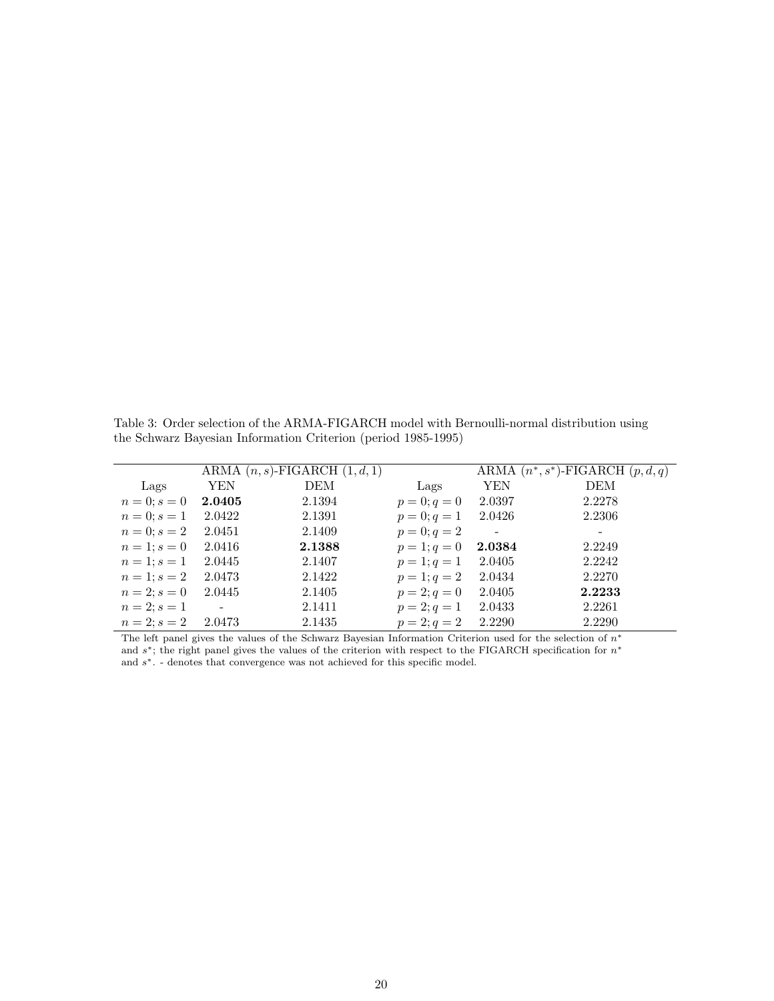Table 3: Order selection of the ARMA-FIGARCH model with Bernoulli-normal distribution using the Schwarz Bayesian Information Criterion (period 1985-1995)

|                   |        | ARMA $(n, s)$ -FIGARCH $(1, d, 1)$ |                   |            | ARMA $(n^*, s^*)$ -FIGARCH $(p, d, q)$ |
|-------------------|--------|------------------------------------|-------------------|------------|----------------------------------------|
| Lags              | YEN    | DEM                                | Lags              | <b>YEN</b> | DEM                                    |
| $n = 0$ ; $s = 0$ | 2.0405 | 2.1394                             | $p = 0; q = 0$    | 2.0397     | 2.2278                                 |
| $n = 0; s = 1$    | 2.0422 | 2.1391                             | $p = 0; q = 1$    | 2.0426     | 2.2306                                 |
| $n = 0; s = 2$    | 2.0451 | 2.1409                             | $p = 0; q = 2$    | $\sim$     | -                                      |
| $n=1$ : $s=0$     | 2.0416 | 2.1388                             | $p=1:q=0$         | 2.0384     | 2.2249                                 |
| $n=1$ ; $s=1$     | 2.0445 | 2.1407                             | $p=1; q=1$        | 2.0405     | 2.2242                                 |
| $n=1$ : $s=2$     | 2.0473 | 2.1422                             | $p=1:q=2$         | 2.0434     | 2.2270                                 |
| $n = 2$ ; $s = 0$ | 2.0445 | 2.1405                             | $p = 2; q = 0$    | 2.0405     | 2.2233                                 |
| $n = 2; s = 1$    |        | 2.1411                             | $p = 2; q = 1$    | 2.0433     | 2.2261                                 |
| $n = 2$ ; $s = 2$ | 2.0473 | 2.1435                             | $p = 2$ ; $q = 2$ | 2.2290     | 2.2290                                 |

The left panel gives the values of the Schwarz Bayesian Information Criterion used for the selection of  $n^*$ and  $s^*$ ; the right panel gives the values of the criterion with respect to the FIGARCH specification for  $n^*$ and  $s^*$ . - denotes that convergence was not achieved for this specific model.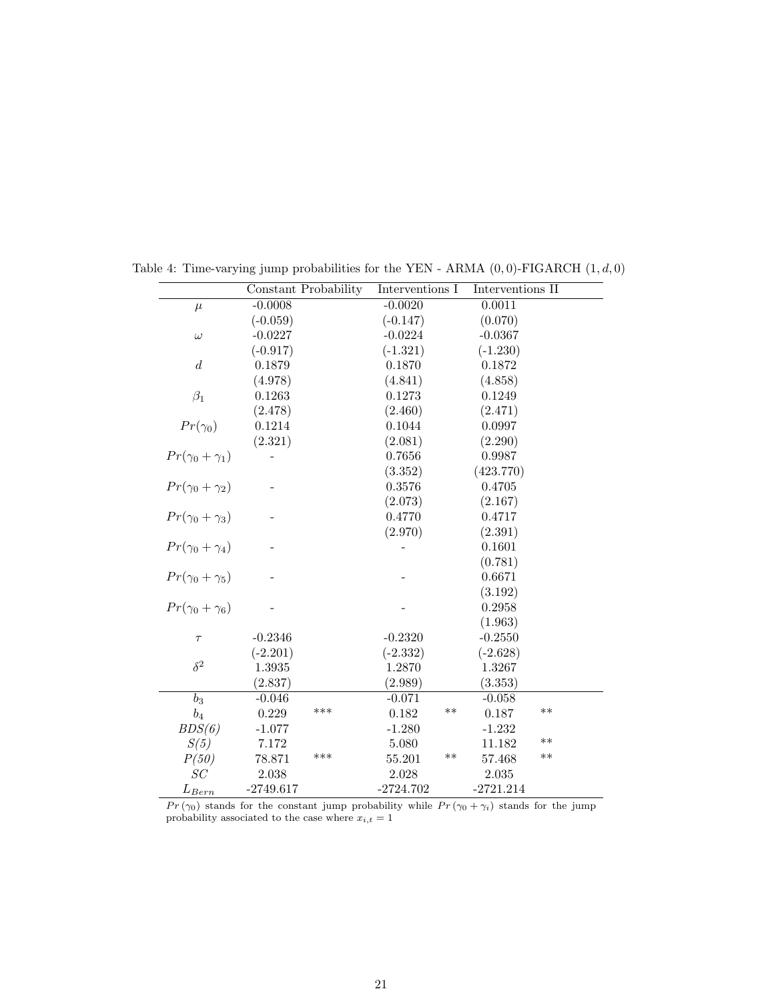|                           | Constant Probability |     | Interventions I |       | Interventions II |      |
|---------------------------|----------------------|-----|-----------------|-------|------------------|------|
| $\mu$                     | $-0.0008$            |     | $-0.0020$       |       | 0.0011           |      |
|                           | $(-0.059)$           |     | $(-0.147)$      |       | (0.070)          |      |
| $\omega$                  | $-0.0227$            |     | $-0.0224$       |       | $-0.0367$        |      |
|                           | $(-0.917)$           |     | $(-1.321)$      |       | $(-1.230)$       |      |
| $\boldsymbol{d}$          | 0.1879               |     | 0.1870          |       | 0.1872           |      |
|                           | (4.978)              |     | (4.841)         |       | (4.858)          |      |
| $\beta_1$                 | 0.1263               |     | 0.1273          |       | 0.1249           |      |
|                           | (2.478)              |     | (2.460)         |       | (2.471)          |      |
| $Pr(\gamma_0)$            | 0.1214               |     | 0.1044          |       | 0.0997           |      |
|                           | (2.321)              |     | (2.081)         |       | (2.290)          |      |
| $Pr(\gamma_0 + \gamma_1)$ |                      |     | 0.7656          |       | 0.9987           |      |
|                           |                      |     | (3.352)         |       | (423.770)        |      |
| $Pr(\gamma_0 + \gamma_2)$ |                      |     | 0.3576          |       | 0.4705           |      |
|                           |                      |     | (2.073)         |       | (2.167)          |      |
| $Pr(\gamma_0 + \gamma_3)$ |                      |     | 0.4770          |       | 0.4717           |      |
|                           |                      |     | (2.970)         |       | (2.391)          |      |
| $Pr(\gamma_0 + \gamma_4)$ |                      |     |                 |       | 0.1601           |      |
|                           |                      |     |                 |       | (0.781)          |      |
| $Pr(\gamma_0 + \gamma_5)$ |                      |     |                 |       | 0.6671           |      |
|                           |                      |     |                 |       | (3.192)          |      |
| $Pr(\gamma_0 + \gamma_6)$ |                      |     |                 |       | 0.2958           |      |
|                           |                      |     |                 |       | (1.963)          |      |
| $\tau$                    | $-0.2346$            |     | $-0.2320$       |       | $-0.2550$        |      |
|                           | $(-2.201)$           |     | $(-2.332)$      |       | $(-2.628)$       |      |
| $\delta^2$                | 1.3935               |     | 1.2870          |       | 1.3267           |      |
|                           | (2.837)              |     | (2.989)         |       | (3.353)          |      |
| $b_3$                     | $-0.046$             |     | $-0.071$        |       | $-0.058$         |      |
| $b_4$                     | 0.229                | *** | 0.182           | $***$ | 0.187            | $**$ |
| BDS(6)                    | $-1.077$             |     | $-1.280$        |       | $-1.232$         |      |
| S(5)                      | 7.172                |     | 5.080           |       | 11.182           | $**$ |
| P(50)                     | 78.871               | *** | 55.201          | $***$ | 57.468           | $**$ |
| SC                        | 2.038                |     | 2.028           |       | 2.035            |      |
| $L_{Bern}$                | $-2749.617$          |     | $-2724.702$     |       | $-2721.214$      |      |

Table 4: Time-varying jump probabilities for the YEN - ARMA  $(0,0)\mbox{-}\mathbf{FIGARCH}$   $(1,d,0)$ 

 $Pr(\gamma_0)$  stands for the constant jump probability while  $Pr(\gamma_0 + \gamma_i)$  stands for the jump probability associated to the case where  $x_{i,t} = 1$